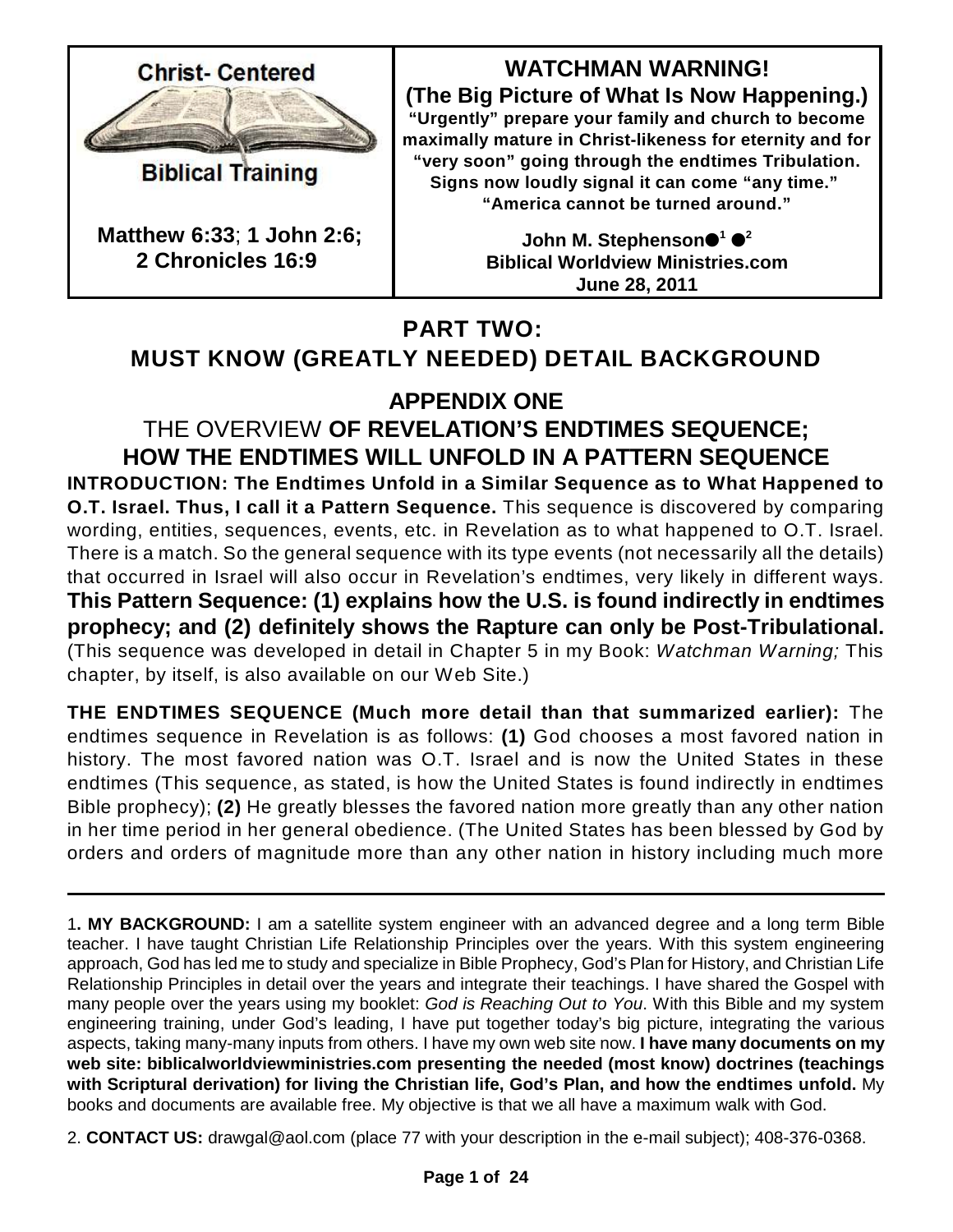

**Biblical Training** 

**Matthew 6:33**; **1 John 2:6; 2 Chronicles 16:9**

**WATCHMAN WARNING! (The Big Picture of What Is Now Happening.) "Urgently" prepare your family and church to become maximally mature in Christ-likeness for eternity and for "very soon" going through the endtimes Tribulation. Signs now loudly signal it can come "any time." "America cannot be turned around."**

> John M. Stephenson●<sup>1</sup> ●<sup>2</sup> **Biblical Worldview Ministries.com June 28, 2011**

# **PART TWO: MUST KNOW (GREATLY NEEDED) DETAIL BACKGROUND**

# **APPENDIX ONE**

THE OVERVIEW **OF REVELATION'S ENDTIMES SEQUENCE; HOW THE ENDTIMES WILL UNFOLD IN A PATTERN SEQUENCE INTRODUCTION: The Endtimes Unfold in a Similar Sequence as to What Happened to O.T. Israel. Thus, I call it a Pattern Sequence.** This sequence is discovered by comparing wording, entities, sequences, events, etc. in Revelation as to what happened to O.T. Israel. There is a match. So the general sequence with its type events (not necessarily all the details) that occurred in Israel will also occur in Revelation's endtimes, very likely in different ways. **This Pattern Sequence: (1) explains how the U.S. is found indirectly in endtimes prophecy; and (2) definitely shows the Rapture can only be Post-Tribulational.** (This sequence was developed in detail in Chapter 5 in my Book: *Watchman Warning;* This chapter, by itself, is also available on our Web Site.)

**THE ENDTIMES SEQUENCE (Much more detail than that summarized earlier):** The endtimes sequence in Revelation is as follows: **(1)** God chooses a most favored nation in history. The most favored nation was O.T. Israel and is now the United States in these endtimes (This sequence, as stated, is how the United States is found indirectly in endtimes Bible prophecy); **(2)** He greatly blesses the favored nation more greatly than any other nation in her time period in her general obedience. (The United States has been blessed by God by orders and orders of magnitude more than any other nation in history including much more

2. **CONTACT US:** drawgal@aol.com (place 77 with your description in the e-mail subject); 408-376-0368.

<sup>1</sup>**. MY BACKGROUND:** I am a satellite system engineer with an advanced degree and a long term Bible teacher. I have taught Christian Life Relationship Principles over the years. With this system engineering approach, God has led me to study and specialize in Bible Prophecy, God's Plan for History, and Christian Life Relationship Principles in detail over the years and integrate their teachings. I have shared the Gospel with many people over the years using my booklet: *God is Reaching Out to You*. With this Bible and my system engineering training, under God's leading, I have put together today's big picture, integrating the various aspects, taking many-many inputs from others. I have my own web site now. **I have many documents on my web site: biblicalworldviewministries.com presenting the needed (most know) doctrines (teachings with Scriptural derivation) for living the Christian life, God's Plan, and how the endtimes unfold.** My books and documents are available free. My objective is that we all have a maximum walk with God.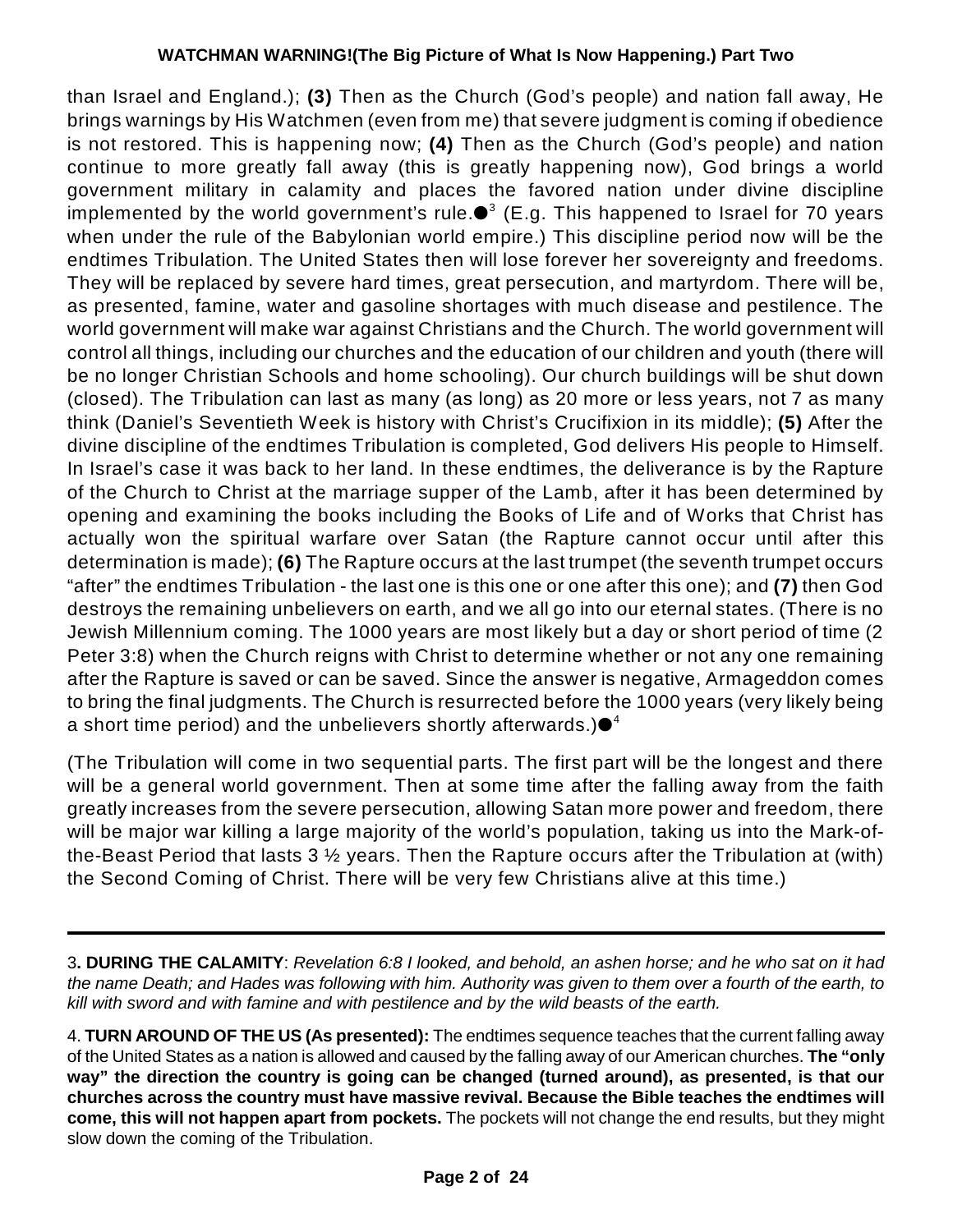than Israel and England.); **(3)** Then as the Church (God's people) and nation fall away, He brings warnings by His Watchmen (even from me) that severe judgment is coming if obedience is not restored. This is happening now; **(4)** Then as the Church (God's people) and nation continue to more greatly fall away (this is greatly happening now), God brings a world government military in calamity and places the favored nation under divine discipline implemented by the world government's rule. $\bullet^{\text{3}}$  (E.g. This happened to Israel for 70 years when under the rule of the Babylonian world empire.) This discipline period now will be the endtimes Tribulation. The United States then will lose forever her sovereignty and freedoms. They will be replaced by severe hard times, great persecution, and martyrdom. There will be, as presented, famine, water and gasoline shortages with much disease and pestilence. The world government will make war against Christians and the Church. The world government will control all things, including our churches and the education of our children and youth (there will be no longer Christian Schools and home schooling). Our church buildings will be shut down (closed). The Tribulation can last as many (as long) as 20 more or less years, not 7 as many think (Daniel's Seventieth Week is history with Christ's Crucifixion in its middle); **(5)** After the divine discipline of the endtimes Tribulation is completed, God delivers His people to Himself. In Israel's case it was back to her land. In these endtimes, the deliverance is by the Rapture of the Church to Christ at the marriage supper of the Lamb, after it has been determined by opening and examining the books including the Books of Life and of Works that Christ has actually won the spiritual warfare over Satan (the Rapture cannot occur until after this determination is made); **(6)** The Rapture occurs at the last trumpet (the seventh trumpet occurs "after" the endtimes Tribulation - the last one is this one or one after this one); and **(7)** then God destroys the remaining unbelievers on earth, and we all go into our eternal states. (There is no Jewish Millennium coming. The 1000 years are most likely but a day or short period of time (2 Peter 3:8) when the Church reigns with Christ to determine whether or not any one remaining after the Rapture is saved or can be saved. Since the answer is negative, Armageddon comes to bring the final judgments. The Church is resurrected before the 1000 years (very likely being a short time period) and the unbelievers shortly afterwards.) $\mathord{\bullet}^4$ 

(The Tribulation will come in two sequential parts. The first part will be the longest and there will be a general world government. Then at some time after the falling away from the faith greatly increases from the severe persecution, allowing Satan more power and freedom, there will be major war killing a large majority of the world's population, taking us into the Mark-ofthe-Beast Period that lasts 3 ½ years. Then the Rapture occurs after the Tribulation at (with) the Second Coming of Christ. There will be very few Christians alive at this time.)

<sup>3</sup>**. DURING THE CALAMITY**: *Revelation 6:8 I looked, and behold, an ashen horse; and he who sat on it had the name Death; and Hades was following with him. Authority was given to them over a fourth of the earth, to kill with sword and with famine and with pestilence and by the wild beasts of the earth.*

<sup>4.</sup> **TURN AROUND OF THE US (As presented):** The endtimes sequence teaches that the current falling away of the United States as a nation is allowed and caused by the falling away of our American churches. **The "only way" the direction the country is going can be changed (turned around), as presented, is that our churches across the country must have massive revival. Because the Bible teaches the endtimes will come, this will not happen apart from pockets.** The pockets will not change the end results, but they might slow down the coming of the Tribulation.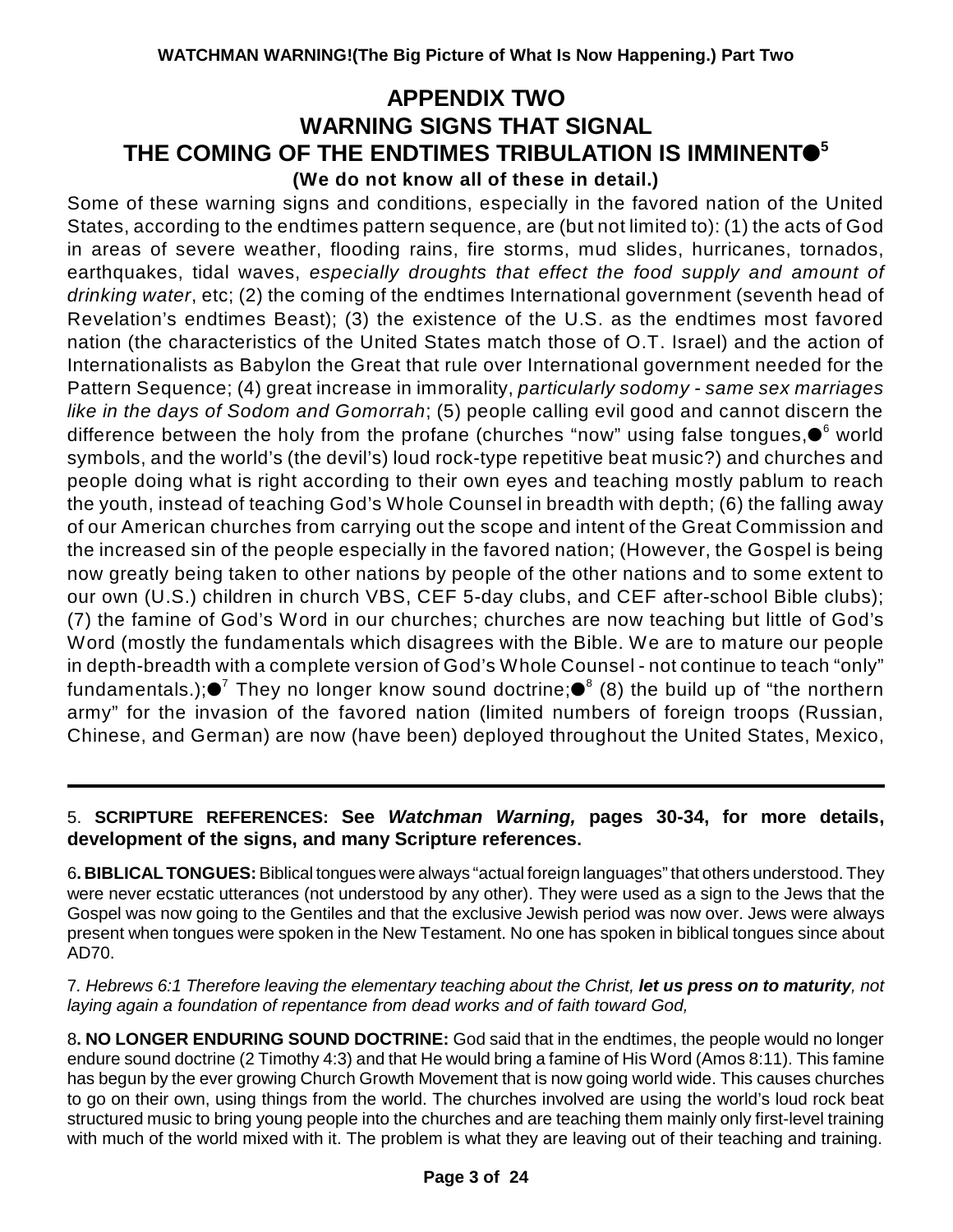### **APPENDIX TWO WARNING SIGNS THAT SIGNAL THE COMING OF THE ENDTIMES TRIBULATION IS IMMINENT 5 (We do not know all of these in detail.)**

Some of these warning signs and conditions, especially in the favored nation of the United States, according to the endtimes pattern sequence, are (but not limited to): (1) the acts of God in areas of severe weather, flooding rains, fire storms, mud slides, hurricanes, tornados, earthquakes, tidal waves, *especially droughts that effect the food supply and amount of drinking water*, etc; (2) the coming of the endtimes International government (seventh head of Revelation's endtimes Beast); (3) the existence of the U.S. as the endtimes most favored nation (the characteristics of the United States match those of O.T. Israel) and the action of Internationalists as Babylon the Great that rule over International government needed for the Pattern Sequence; (4) great increase in immorality, *particularly sodomy - same sex marriages like in the days of Sodom and Gomorrah*; (5) people calling evil good and cannot discern the difference between the holy from the profane (churches "now" using false tongues, $\bullet^{\scriptscriptstyle 6}$  world symbols, and the world's (the devil's) loud rock-type repetitive beat music?) and churches and people doing what is right according to their own eyes and teaching mostly pablum to reach the youth, instead of teaching God's Whole Counsel in breadth with depth; (6) the falling away of our American churches from carrying out the scope and intent of the Great Commission and the increased sin of the people especially in the favored nation; (However, the Gospel is being now greatly being taken to other nations by people of the other nations and to some extent to our own (U.S.) children in church VBS, CEF 5-day clubs, and CEF after-school Bible clubs); (7) the famine of God's Word in our churches; churches are now teaching but little of God's Word (mostly the fundamentals which disagrees with the Bible. We are to mature our people in depth-breadth with a complete version of God's Whole Counsel - not continue to teach "only" fundamentals.); $\mathord{\bullet}^7$  They no longer know sound doctrine; $\mathord{\bullet}^8$  (8) the build up of "the northern army" for the invasion of the favored nation (limited numbers of foreign troops (Russian, Chinese, and German) are now (have been) deployed throughout the United States, Mexico,

#### 5. **SCRIPTURE REFERENCES: See** *Watchman Warning,* **pages 30-34, for more details, development of the signs, and many Scripture references.**

6**. BIBLICAL TONGUES:** Biblical tongues were always "actual foreign languages" that others understood. They were never ecstatic utterances (not understood by any other). They were used as a sign to the Jews that the Gospel was now going to the Gentiles and that the exclusive Jewish period was now over. Jews were always present when tongues were spoken in the New Testament. No one has spoken in biblical tongues since about AD70.

7*. Hebrews 6:1 Therefore leaving the elementary teaching about the Christ, let us press on to maturity, not laying again a foundation of repentance from dead works and of faith toward God,*

8**. NO LONGER ENDURING SOUND DOCTRINE:** God said that in the endtimes, the people would no longer endure sound doctrine (2 Timothy 4:3) and that He would bring a famine of His Word (Amos 8:11). This famine has begun by the ever growing Church Growth Movement that is now going world wide. This causes churches to go on their own, using things from the world. The churches involved are using the world's loud rock beat structured music to bring young people into the churches and are teaching them mainly only first-level training with much of the world mixed with it. The problem is what they are leaving out of their teaching and training.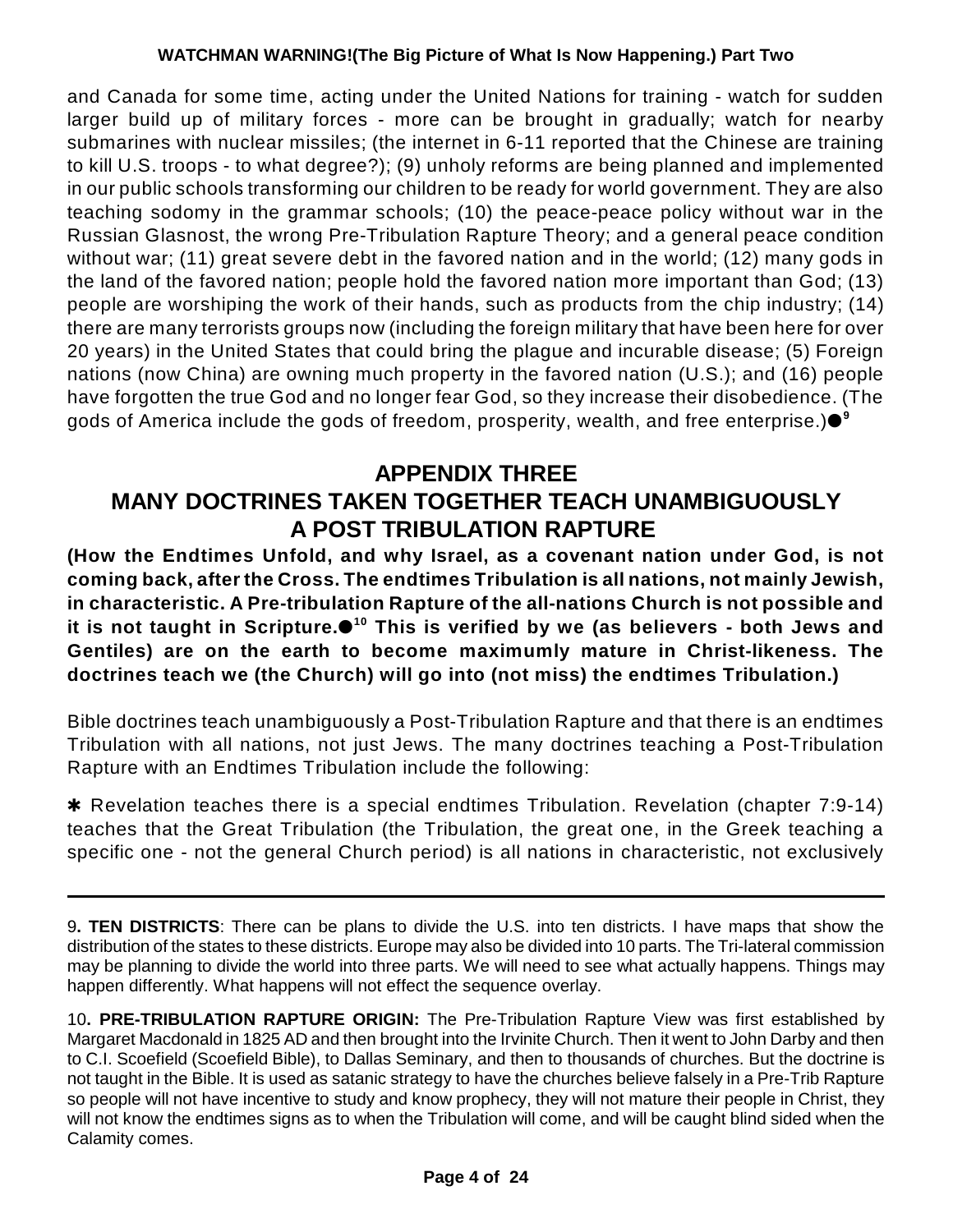and Canada for some time, acting under the United Nations for training - watch for sudden larger build up of military forces - more can be brought in gradually; watch for nearby submarines with nuclear missiles; (the internet in 6-11 reported that the Chinese are training to kill U.S. troops - to what degree?); (9) unholy reforms are being planned and implemented in our public schools transforming our children to be ready for world government. They are also teaching sodomy in the grammar schools; (10) the peace-peace policy without war in the Russian Glasnost, the wrong Pre-Tribulation Rapture Theory; and a general peace condition without war; (11) great severe debt in the favored nation and in the world; (12) many gods in the land of the favored nation; people hold the favored nation more important than God; (13) people are worshiping the work of their hands, such as products from the chip industry; (14) there are many terrorists groups now (including the foreign military that have been here for over 20 years) in the United States that could bring the plague and incurable disease; (5) Foreign nations (now China) are owning much property in the favored nation (U.S.); and (16) people have forgotten the true God and no longer fear God, so they increase their disobedience. (The gods of America include the gods of freedom, prosperity, wealth, and free enterprise.) **9**

# **APPENDIX THREE MANY DOCTRINES TAKEN TOGETHER TEACH UNAMBIGUOUSLY A POST TRIBULATION RAPTURE**

**(How the Endtimes Unfold, and why Israel, as a covenant nation under God, is not coming back, after the Cross. The endtimes Tribulation is all nations, not mainly Jewish, in characteristic. A Pre-tribulation Rapture of the all-nations Church is not possible and it is not taught in Scripture. This is verified by we (as believers - both Jews and 10 Gentiles) are on the earth to become maximumly mature in Christ-likeness. The doctrines teach we (the Church) will go into (not miss) the endtimes Tribulation.)**

Bible doctrines teach unambiguously a Post-Tribulation Rapture and that there is an endtimes Tribulation with all nations, not just Jews. The many doctrines teaching a Post-Tribulation Rapture with an Endtimes Tribulation include the following:

\* Revelation teaches there is a special endtimes Tribulation. Revelation (chapter 7:9-14) teaches that the Great Tribulation (the Tribulation, the great one, in the Greek teaching a specific one - not the general Church period) is all nations in characteristic, not exclusively

9**. TEN DISTRICTS**: There can be plans to divide the U.S. into ten districts. I have maps that show the distribution of the states to these districts. Europe may also be divided into 10 parts. The Tri-lateral commission may be planning to divide the world into three parts. We will need to see what actually happens. Things may happen differently. What happens will not effect the sequence overlay.

10**. PRE-TRIBULATION RAPTURE ORIGIN:** The Pre-Tribulation Rapture View was first established by Margaret Macdonald in 1825 AD and then brought into the Irvinite Church. Then it went to John Darby and then to C.I. Scoefield (Scoefield Bible), to Dallas Seminary, and then to thousands of churches. But the doctrine is not taught in the Bible. It is used as satanic strategy to have the churches believe falsely in a Pre-Trib Rapture so people will not have incentive to study and know prophecy, they will not mature their people in Christ, they will not know the endtimes signs as to when the Tribulation will come, and will be caught blind sided when the Calamity comes.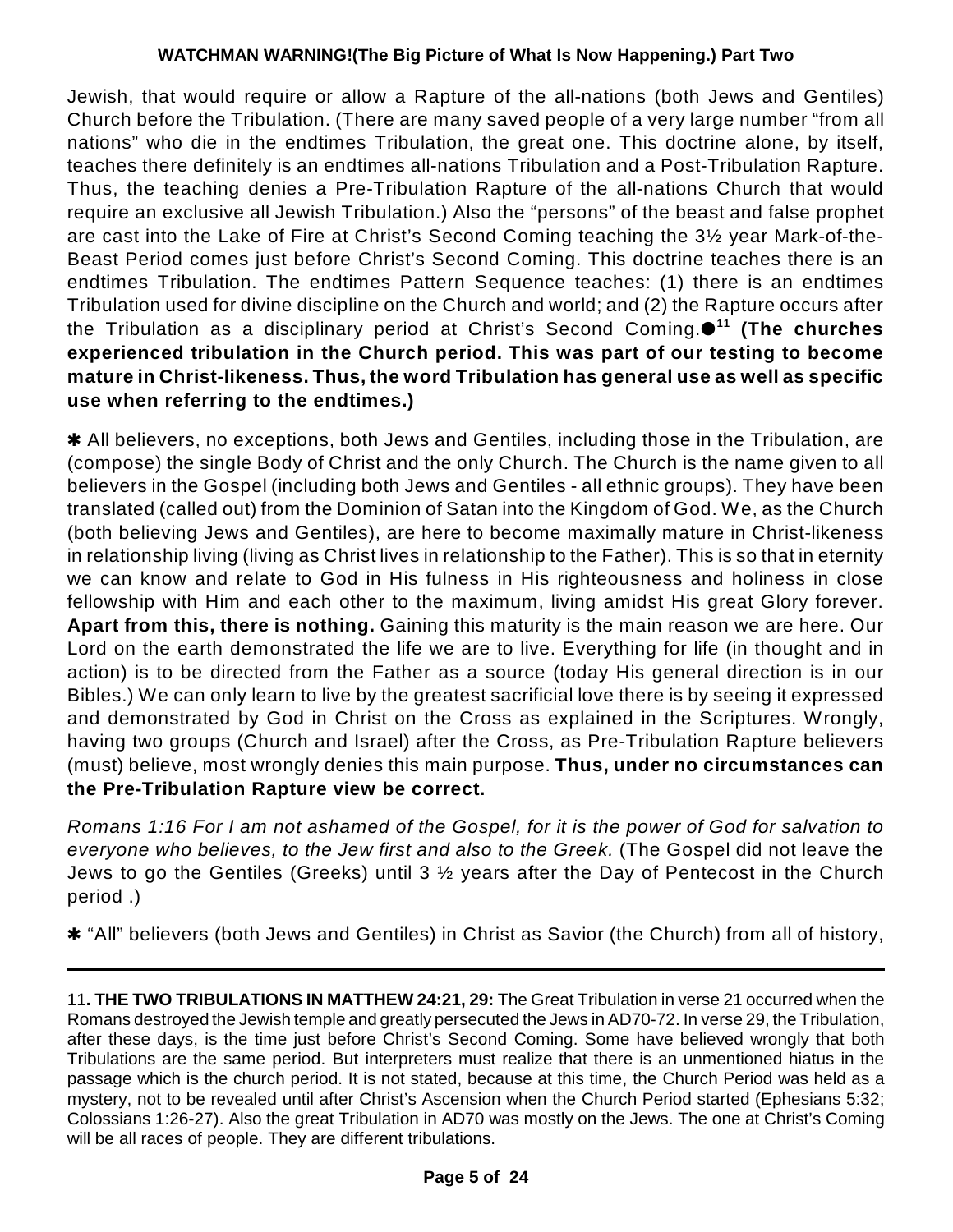Jewish, that would require or allow a Rapture of the all-nations (both Jews and Gentiles) Church before the Tribulation. (There are many saved people of a very large number "from all nations" who die in the endtimes Tribulation, the great one. This doctrine alone, by itself, teaches there definitely is an endtimes all-nations Tribulation and a Post-Tribulation Rapture. Thus, the teaching denies a Pre-Tribulation Rapture of the all-nations Church that would require an exclusive all Jewish Tribulation.) Also the "persons" of the beast and false prophet are cast into the Lake of Fire at Christ's Second Coming teaching the 3½ year Mark-of-the-Beast Period comes just before Christ's Second Coming. This doctrine teaches there is an endtimes Tribulation. The endtimes Pattern Sequence teaches: (1) there is an endtimes Tribulation used for divine discipline on the Church and world; and (2) the Rapture occurs after the Tribulation as a disciplinary period at Christ's Second Coming. **(The churches 11 experienced tribulation in the Church period. This was part of our testing to become mature in Christ-likeness. Thus, the word Tribulation has general use as well as specific use when referring to the endtimes.)**

\* All believers, no exceptions, both Jews and Gentiles, including those in the Tribulation, are (compose) the single Body of Christ and the only Church. The Church is the name given to all believers in the Gospel (including both Jews and Gentiles - all ethnic groups). They have been translated (called out) from the Dominion of Satan into the Kingdom of God. We, as the Church (both believing Jews and Gentiles), are here to become maximally mature in Christ-likeness in relationship living (living as Christ lives in relationship to the Father). This is so that in eternity we can know and relate to God in His fulness in His righteousness and holiness in close fellowship with Him and each other to the maximum, living amidst His great Glory forever. **Apart from this, there is nothing.** Gaining this maturity is the main reason we are here. Our Lord on the earth demonstrated the life we are to live. Everything for life (in thought and in action) is to be directed from the Father as a source (today His general direction is in our Bibles.) We can only learn to live by the greatest sacrificial love there is by seeing it expressed and demonstrated by God in Christ on the Cross as explained in the Scriptures. Wrongly, having two groups (Church and Israel) after the Cross, as Pre-Tribulation Rapture believers (must) believe, most wrongly denies this main purpose. **Thus, under no circumstances can the Pre-Tribulation Rapture view be correct.**

Romans 1:16 For I am not ashamed of the Gospel, for it is the power of God for salvation to *everyone who believes, to the Jew first and also to the Greek.* (The Gospel did not leave the Jews to go the Gentiles (Greeks) until 3 ½ years after the Day of Pentecost in the Church period .)

\* "All" believers (both Jews and Gentiles) in Christ as Savior (the Church) from all of history,

<sup>11</sup>**. THE TWO TRIBULATIONS IN MATTHEW 24:21, 29:** The Great Tribulation in verse 21 occurred when the Romans destroyed the Jewish temple and greatly persecuted the Jews in AD70-72. In verse 29, the Tribulation, after these days, is the time just before Christ's Second Coming. Some have believed wrongly that both Tribulations are the same period. But interpreters must realize that there is an unmentioned hiatus in the passage which is the church period. It is not stated, because at this time, the Church Period was held as a mystery, not to be revealed until after Christ's Ascension when the Church Period started (Ephesians 5:32; Colossians 1:26-27). Also the great Tribulation in AD70 was mostly on the Jews. The one at Christ's Coming will be all races of people. They are different tribulations.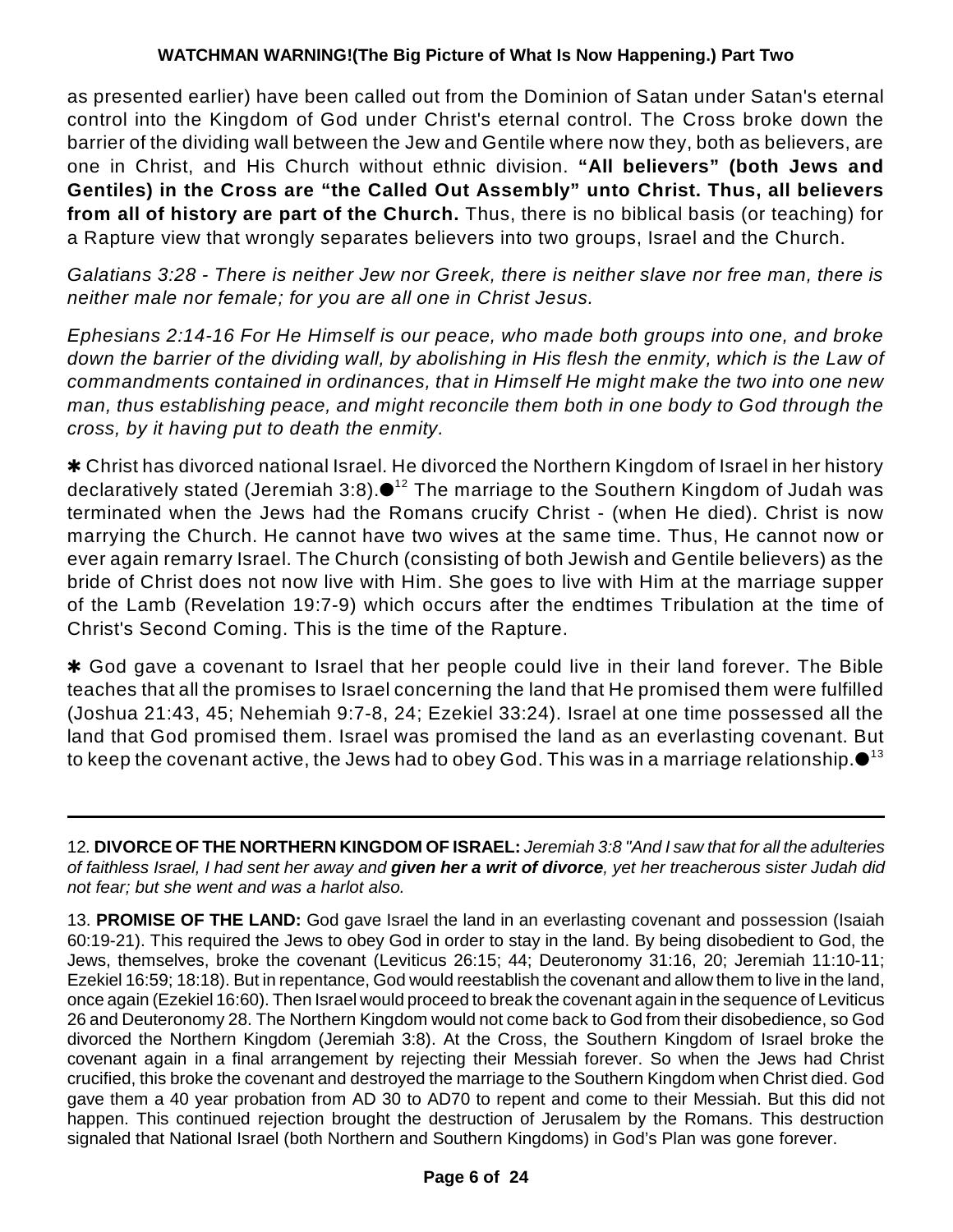as presented earlier) have been called out from the Dominion of Satan under Satan's eternal control into the Kingdom of God under Christ's eternal control. The Cross broke down the barrier of the dividing wall between the Jew and Gentile where now they, both as believers, are one in Christ, and His Church without ethnic division. **"All believers" (both Jews and Gentiles) in the Cross are "the Called Out Assembly" unto Christ. Thus, all believers from all of history are part of the Church.** Thus, there is no biblical basis (or teaching) for a Rapture view that wrongly separates believers into two groups, Israel and the Church.

*Galatians 3:28 - There is neither Jew nor Greek, there is neither slave nor free man, there is neither male nor female; for you are all one in Christ Jesus.*

*Ephesians 2:14-16 For He Himself is our peace, who made both groups into one, and broke down the barrier of the dividing wall, by abolishing in His flesh the enmity, which is the Law of commandments contained in ordinances, that in Himself He might make the two into one new man, thus establishing peace, and might reconcile them both in one body to God through the cross, by it having put to death the enmity.*

\* Christ has divorced national Israel. He divorced the Northern Kingdom of Israel in her history declaratively stated (Jeremiah 3:8). $\bullet$   $^{12}$  The marriage to the Southern Kingdom of Judah was terminated when the Jews had the Romans crucify Christ - (when He died). Christ is now marrying the Church. He cannot have two wives at the same time. Thus, He cannot now or ever again remarry Israel. The Church (consisting of both Jewish and Gentile believers) as the bride of Christ does not now live with Him. She goes to live with Him at the marriage supper of the Lamb (Revelation 19:7-9) which occurs after the endtimes Tribulation at the time of Christ's Second Coming. This is the time of the Rapture.

\* God gave a covenant to Israel that her people could live in their land forever. The Bible teaches that all the promises to Israel concerning the land that He promised them were fulfilled (Joshua 21:43, 45; Nehemiah 9:7-8, 24; Ezekiel 33:24). Israel at one time possessed all the land that God promised them. Israel was promised the land as an everlasting covenant. But to keep the covenant active, the Jews had to obey God. This was in a marriage relationship. $\bullet^{_{13}}$ 

12*.* **DIVORCE OF THE NORTHERN KINGDOM OF ISRAEL:** *Jeremiah 3:8 "And I saw that for all the adulteries of faithless Israel, I had sent her away and given her a writ of divorce, yet her treacherous sister Judah did not fear; but she went and was a harlot also.*

13. **PROMISE OF THE LAND:** God gave Israel the land in an everlasting covenant and possession (Isaiah 60:19-21). This required the Jews to obey God in order to stay in the land. By being disobedient to God, the Jews, themselves, broke the covenant (Leviticus 26:15; 44; Deuteronomy 31:16, 20; Jeremiah 11:10-11; Ezekiel 16:59; 18:18). But in repentance, God would reestablish the covenant and allow them to live in the land, once again (Ezekiel 16:60). Then Israel would proceed to break the covenant again in the sequence of Leviticus 26 and Deuteronomy 28. The Northern Kingdom would not come back to God from their disobedience, so God divorced the Northern Kingdom (Jeremiah 3:8). At the Cross, the Southern Kingdom of Israel broke the covenant again in a final arrangement by rejecting their Messiah forever. So when the Jews had Christ crucified, this broke the covenant and destroyed the marriage to the Southern Kingdom when Christ died. God gave them a 40 year probation from AD 30 to AD70 to repent and come to their Messiah. But this did not happen. This continued rejection brought the destruction of Jerusalem by the Romans. This destruction signaled that National Israel (both Northern and Southern Kingdoms) in God's Plan was gone forever.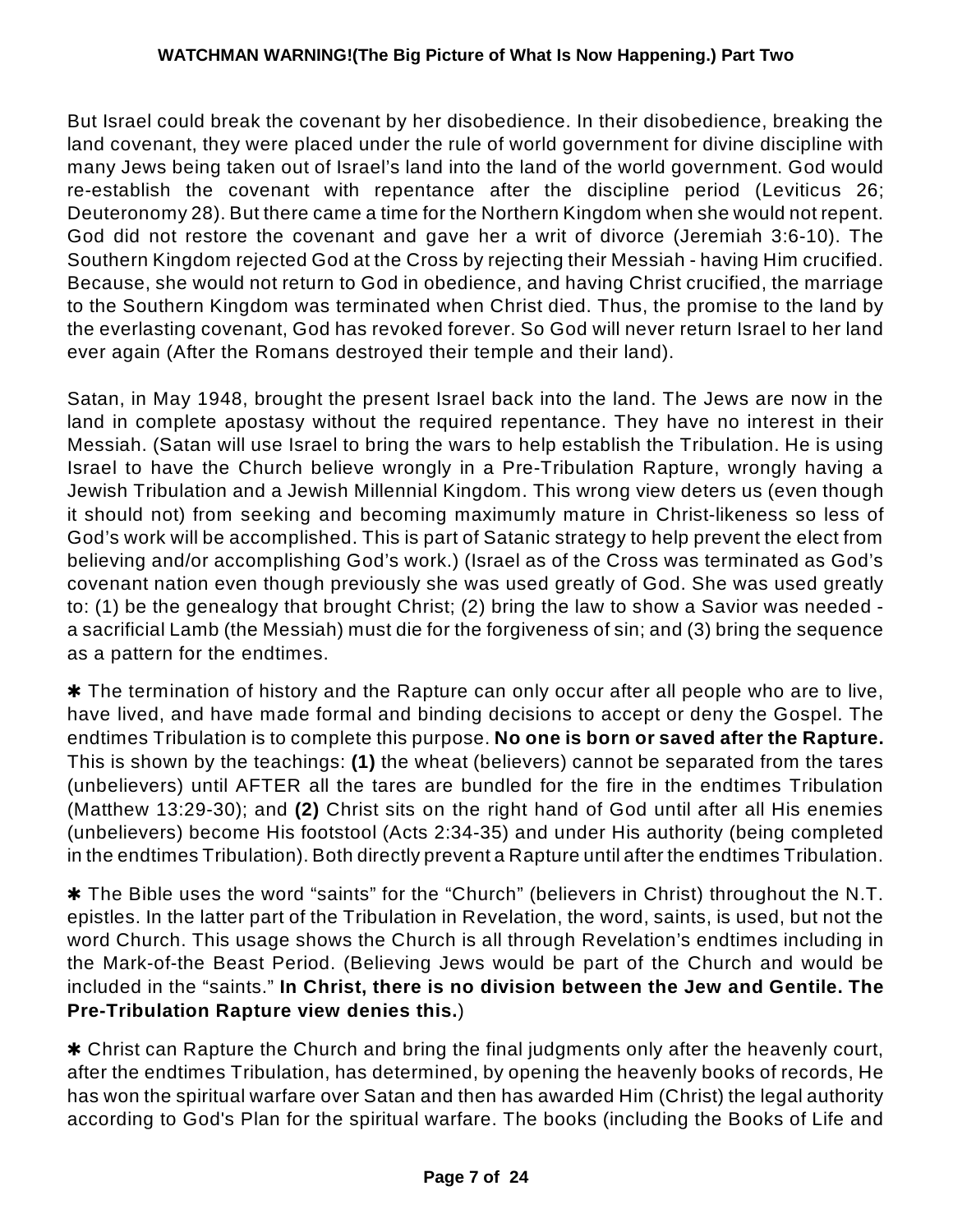But Israel could break the covenant by her disobedience. In their disobedience, breaking the land covenant, they were placed under the rule of world government for divine discipline with many Jews being taken out of Israel's land into the land of the world government. God would re-establish the covenant with repentance after the discipline period (Leviticus 26; Deuteronomy 28). But there came a time for the Northern Kingdom when she would not repent. God did not restore the covenant and gave her a writ of divorce (Jeremiah 3:6-10). The Southern Kingdom rejected God at the Cross by rejecting their Messiah - having Him crucified. Because, she would not return to God in obedience, and having Christ crucified, the marriage to the Southern Kingdom was terminated when Christ died. Thus, the promise to the land by the everlasting covenant, God has revoked forever. So God will never return Israel to her land ever again (After the Romans destroyed their temple and their land).

Satan, in May 1948, brought the present Israel back into the land. The Jews are now in the land in complete apostasy without the required repentance. They have no interest in their Messiah. (Satan will use Israel to bring the wars to help establish the Tribulation. He is using Israel to have the Church believe wrongly in a Pre-Tribulation Rapture, wrongly having a Jewish Tribulation and a Jewish Millennial Kingdom. This wrong view deters us (even though it should not) from seeking and becoming maximumly mature in Christ-likeness so less of God's work will be accomplished. This is part of Satanic strategy to help prevent the elect from believing and/or accomplishing God's work.) (Israel as of the Cross was terminated as God's covenant nation even though previously she was used greatly of God. She was used greatly to: (1) be the genealogy that brought Christ; (2) bring the law to show a Savior was needed a sacrificial Lamb (the Messiah) must die for the forgiveness of sin; and (3) bring the sequence as a pattern for the endtimes.

 $*$  The termination of history and the Rapture can only occur after all people who are to live, have lived, and have made formal and binding decisions to accept or deny the Gospel. The endtimes Tribulation is to complete this purpose. **No one is born or saved after the Rapture.** This is shown by the teachings: **(1)** the wheat (believers) cannot be separated from the tares (unbelievers) until AFTER all the tares are bundled for the fire in the endtimes Tribulation (Matthew 13:29-30); and **(2)** Christ sits on the right hand of God until after all His enemies (unbelievers) become His footstool (Acts 2:34-35) and under His authority (being completed in the endtimes Tribulation). Both directly prevent a Rapture until after the endtimes Tribulation.

\* The Bible uses the word "saints" for the "Church" (believers in Christ) throughout the N.T. epistles. In the latter part of the Tribulation in Revelation, the word, saints, is used, but not the word Church. This usage shows the Church is all through Revelation's endtimes including in the Mark-of-the Beast Period. (Believing Jews would be part of the Church and would be included in the "saints." **In Christ, there is no division between the Jew and Gentile. The Pre-Tribulation Rapture view denies this.**)

\* Christ can Rapture the Church and bring the final judgments only after the heavenly court, after the endtimes Tribulation, has determined, by opening the heavenly books of records, He has won the spiritual warfare over Satan and then has awarded Him (Christ) the legal authority according to God's Plan for the spiritual warfare. The books (including the Books of Life and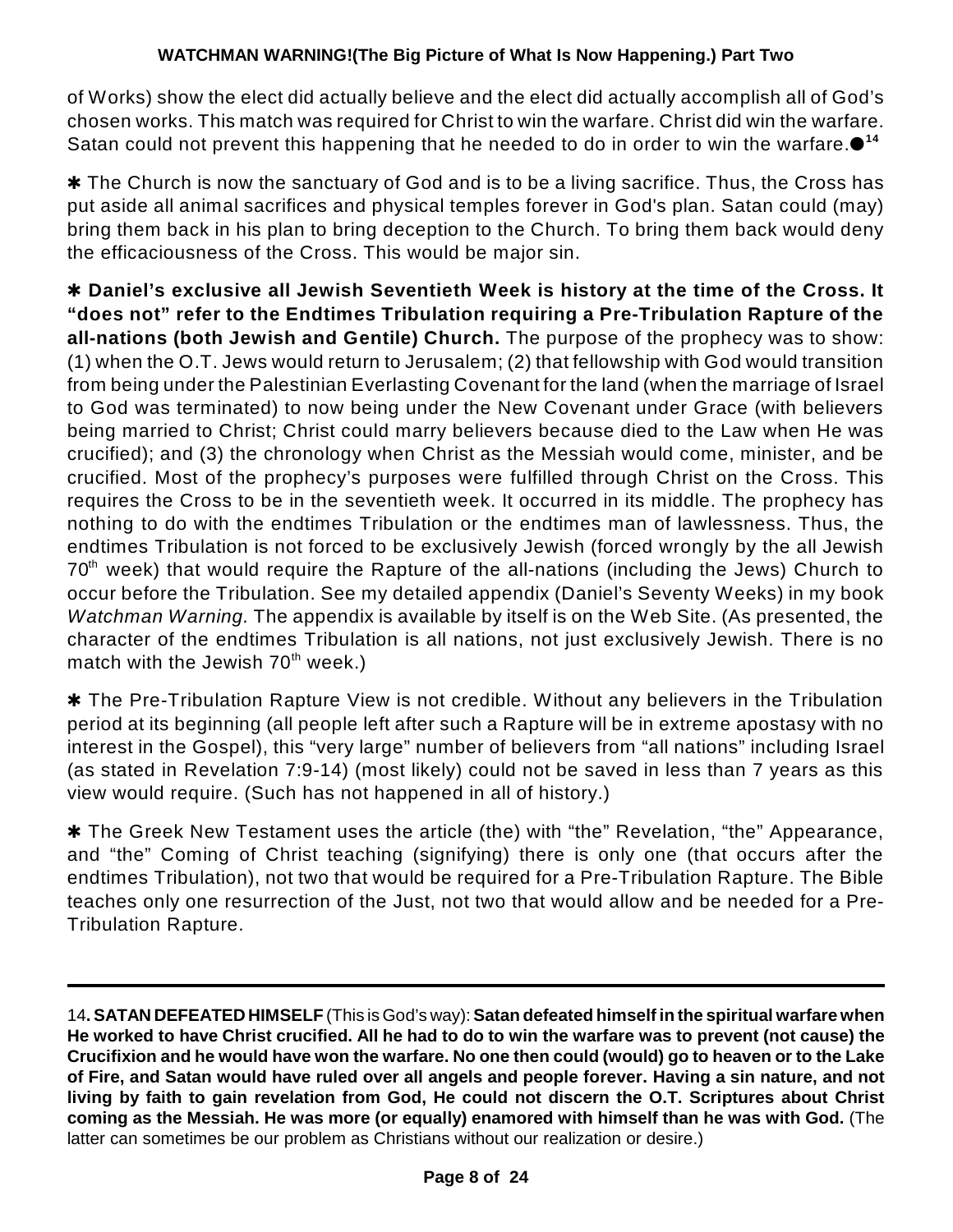of Works) show the elect did actually believe and the elect did actually accomplish all of God's chosen works. This match was required for Christ to win the warfare. Christ did win the warfare. Satan could not prevent this happening that he needed to do in order to win the warfare. **14**

**\*** The Church is now the sanctuary of God and is to be a living sacrifice. Thus, the Cross has put aside all animal sacrifices and physical temples forever in God's plan. Satan could (may) bring them back in his plan to bring deception to the Church. To bring them back would deny the efficaciousness of the Cross. This would be major sin.

r **Daniel's exclusive all Jewish Seventieth Week is history at the time of the Cross. It "does not" refer to the Endtimes Tribulation requiring a Pre-Tribulation Rapture of the all-nations (both Jewish and Gentile) Church.** The purpose of the prophecy was to show: (1) when the O.T. Jews would return to Jerusalem; (2) that fellowship with God would transition from being under the Palestinian Everlasting Covenant for the land (when the marriage of Israel to God was terminated) to now being under the New Covenant under Grace (with believers being married to Christ; Christ could marry believers because died to the Law when He was crucified); and (3) the chronology when Christ as the Messiah would come, minister, and be crucified. Most of the prophecy's purposes were fulfilled through Christ on the Cross. This requires the Cross to be in the seventieth week. It occurred in its middle. The prophecy has nothing to do with the endtimes Tribulation or the endtimes man of lawlessness. Thus, the endtimes Tribulation is not forced to be exclusively Jewish (forced wrongly by the all Jewish  $70<sup>th</sup>$  week) that would require the Rapture of the all-nations (including the Jews) Church to occur before the Tribulation. See my detailed appendix (Daniel's Seventy Weeks) in my book *Watchman Warning.* The appendix is available by itself is on the Web Site. (As presented, the character of the endtimes Tribulation is all nations, not just exclusively Jewish. There is no match with the Jewish 70 $^{\text{th}}$  week.)

**\*** The Pre-Tribulation Rapture View is not credible. Without any believers in the Tribulation period at its beginning (all people left after such a Rapture will be in extreme apostasy with no interest in the Gospel), this "very large" number of believers from "all nations" including Israel (as stated in Revelation 7:9-14) (most likely) could not be saved in less than 7 years as this view would require. (Such has not happened in all of history.)

**\*** The Greek New Testament uses the article (the) with "the" Revelation, "the" Appearance, and "the" Coming of Christ teaching (signifying) there is only one (that occurs after the endtimes Tribulation), not two that would be required for a Pre-Tribulation Rapture. The Bible teaches only one resurrection of the Just, not two that would allow and be needed for a Pre-Tribulation Rapture.

<sup>14</sup>**. SATAN DEFEATED HIMSELF** (This is God's way): **Satan defeated himself in the spiritual warfare when He worked to have Christ crucified. All he had to do to win the warfare was to prevent (not cause) the Crucifixion and he would have won the warfare. No one then could (would) go to heaven or to the Lake of Fire, and Satan would have ruled over all angels and people forever. Having a sin nature, and not living by faith to gain revelation from God, He could not discern the O.T. Scriptures about Christ coming as the Messiah. He was more (or equally) enamored with himself than he was with God.** (The latter can sometimes be our problem as Christians without our realization or desire.)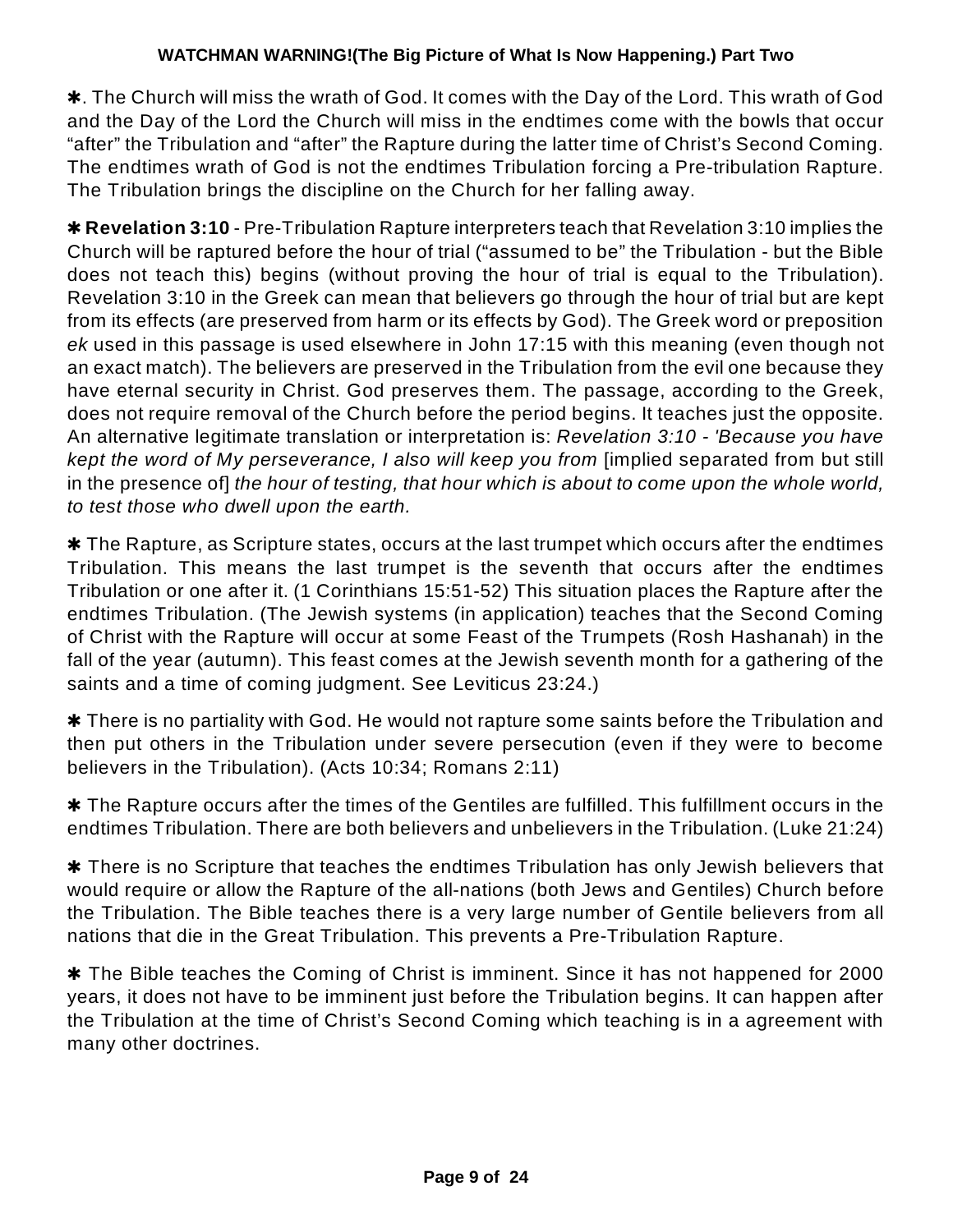**\*.** The Church will miss the wrath of God. It comes with the Day of the Lord. This wrath of God and the Day of the Lord the Church will miss in the endtimes come with the bowls that occur "after" the Tribulation and "after" the Rapture during the latter time of Christ's Second Coming. The endtimes wrath of God is not the endtimes Tribulation forcing a Pre-tribulation Rapture. The Tribulation brings the discipline on the Church for her falling away.

**\* Revelation 3:10** - Pre-Tribulation Rapture interpreters teach that Revelation 3:10 implies the Church will be raptured before the hour of trial ("assumed to be" the Tribulation - but the Bible does not teach this) begins (without proving the hour of trial is equal to the Tribulation). Revelation 3:10 in the Greek can mean that believers go through the hour of trial but are kept from its effects (are preserved from harm or its effects by God). The Greek word or preposition *ek* used in this passage is used elsewhere in John 17:15 with this meaning (even though not an exact match). The believers are preserved in the Tribulation from the evil one because they have eternal security in Christ. God preserves them. The passage, according to the Greek, does not require removal of the Church before the period begins. It teaches just the opposite. An alternative legitimate translation or interpretation is: *Revelation 3:10 - 'Because you have kept the word of My perseverance, I also will keep you from* [implied separated from but still in the presence of] *the hour of testing, that hour which is about to come upon the whole world, to test those who dwell upon the earth.*

**\*** The Rapture, as Scripture states, occurs at the last trumpet which occurs after the endtimes Tribulation. This means the last trumpet is the seventh that occurs after the endtimes Tribulation or one after it. (1 Corinthians 15:51-52) This situation places the Rapture after the endtimes Tribulation. (The Jewish systems (in application) teaches that the Second Coming of Christ with the Rapture will occur at some Feast of the Trumpets (Rosh Hashanah) in the fall of the year (autumn). This feast comes at the Jewish seventh month for a gathering of the saints and a time of coming judgment. See Leviticus 23:24.)

 $*$  There is no partiality with God. He would not rapture some saints before the Tribulation and then put others in the Tribulation under severe persecution (even if they were to become believers in the Tribulation). (Acts 10:34; Romans 2:11)

**\*** The Rapture occurs after the times of the Gentiles are fulfilled. This fulfillment occurs in the endtimes Tribulation. There are both believers and unbelievers in the Tribulation. (Luke 21:24)

 $*$  There is no Scripture that teaches the endtimes Tribulation has only Jewish believers that would require or allow the Rapture of the all-nations (both Jews and Gentiles) Church before the Tribulation. The Bible teaches there is a very large number of Gentile believers from all nations that die in the Great Tribulation. This prevents a Pre-Tribulation Rapture.

\* The Bible teaches the Coming of Christ is imminent. Since it has not happened for 2000 years, it does not have to be imminent just before the Tribulation begins. It can happen after the Tribulation at the time of Christ's Second Coming which teaching is in a agreement with many other doctrines.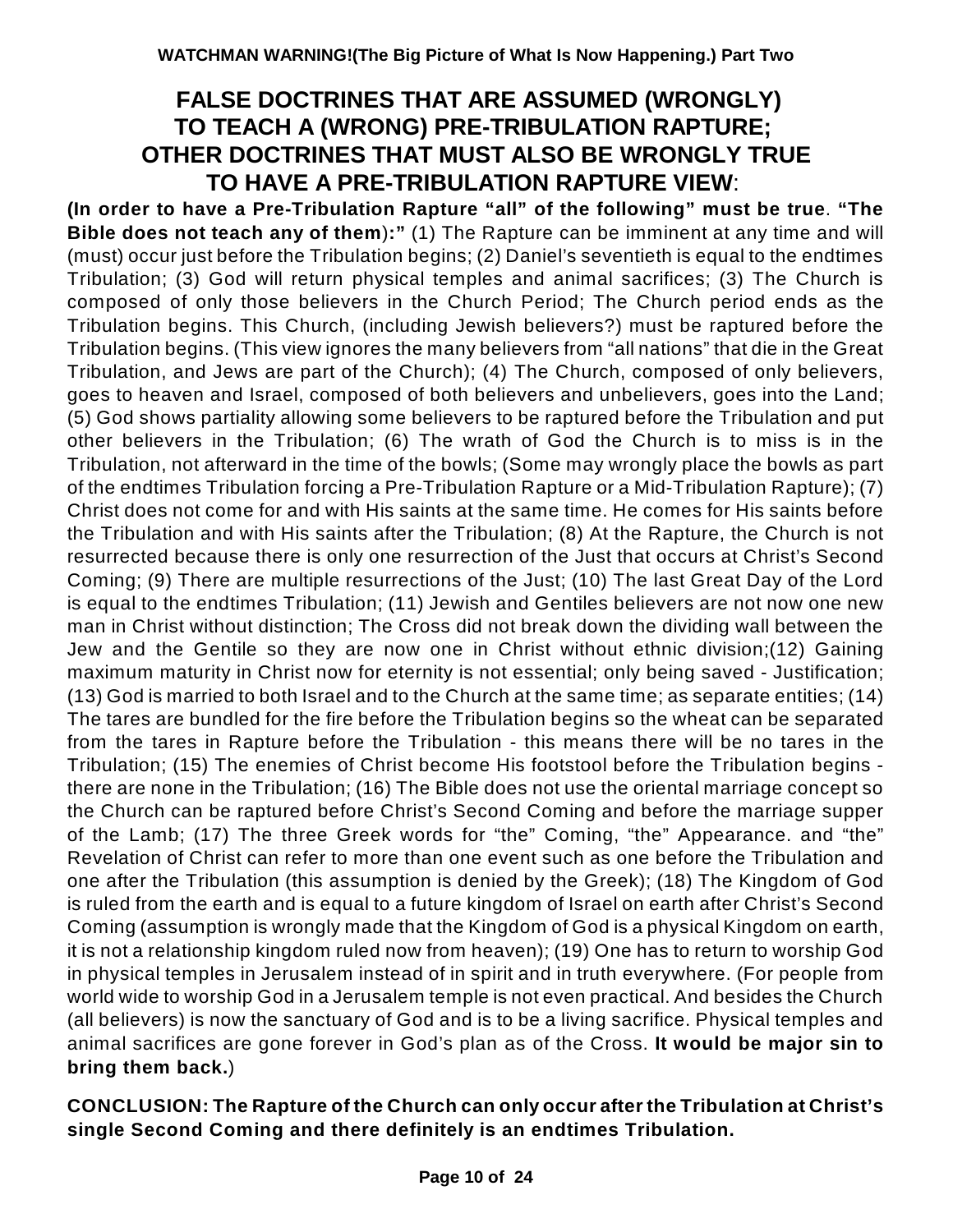### **FALSE DOCTRINES THAT ARE ASSUMED (WRONGLY) TO TEACH A (WRONG) PRE-TRIBULATION RAPTURE; OTHER DOCTRINES THAT MUST ALSO BE WRONGLY TRUE TO HAVE A PRE-TRIBULATION RAPTURE VIEW**:

**(In order to have a Pre-Tribulation Rapture "all" of the following" must be true**. **"The Bible does not teach any of them**)**:"** (1) The Rapture can be imminent at any time and will (must) occur just before the Tribulation begins; (2) Daniel's seventieth is equal to the endtimes Tribulation; (3) God will return physical temples and animal sacrifices; (3) The Church is composed of only those believers in the Church Period; The Church period ends as the Tribulation begins. This Church, (including Jewish believers?) must be raptured before the Tribulation begins. (This view ignores the many believers from "all nations" that die in the Great Tribulation, and Jews are part of the Church); (4) The Church, composed of only believers, goes to heaven and Israel, composed of both believers and unbelievers, goes into the Land; (5) God shows partiality allowing some believers to be raptured before the Tribulation and put other believers in the Tribulation; (6) The wrath of God the Church is to miss is in the Tribulation, not afterward in the time of the bowls; (Some may wrongly place the bowls as part of the endtimes Tribulation forcing a Pre-Tribulation Rapture or a Mid-Tribulation Rapture); (7) Christ does not come for and with His saints at the same time. He comes for His saints before the Tribulation and with His saints after the Tribulation; (8) At the Rapture, the Church is not resurrected because there is only one resurrection of the Just that occurs at Christ's Second Coming; (9) There are multiple resurrections of the Just; (10) The last Great Day of the Lord is equal to the endtimes Tribulation; (11) Jewish and Gentiles believers are not now one new man in Christ without distinction; The Cross did not break down the dividing wall between the Jew and the Gentile so they are now one in Christ without ethnic division;(12) Gaining maximum maturity in Christ now for eternity is not essential; only being saved - Justification; (13) God is married to both Israel and to the Church at the same time; as separate entities; (14) The tares are bundled for the fire before the Tribulation begins so the wheat can be separated from the tares in Rapture before the Tribulation - this means there will be no tares in the Tribulation; (15) The enemies of Christ become His footstool before the Tribulation begins there are none in the Tribulation; (16) The Bible does not use the oriental marriage concept so the Church can be raptured before Christ's Second Coming and before the marriage supper of the Lamb; (17) The three Greek words for "the" Coming, "the" Appearance. and "the" Revelation of Christ can refer to more than one event such as one before the Tribulation and one after the Tribulation (this assumption is denied by the Greek); (18) The Kingdom of God is ruled from the earth and is equal to a future kingdom of Israel on earth after Christ's Second Coming (assumption is wrongly made that the Kingdom of God is a physical Kingdom on earth, it is not a relationship kingdom ruled now from heaven); (19) One has to return to worship God in physical temples in Jerusalem instead of in spirit and in truth everywhere. (For people from world wide to worship God in a Jerusalem temple is not even practical. And besides the Church (all believers) is now the sanctuary of God and is to be a living sacrifice. Physical temples and animal sacrifices are gone forever in God's plan as of the Cross. **It would be major sin to bring them back.**)

**CONCLUSION: The Rapture of the Church can only occur after the Tribulation at Christ's single Second Coming and there definitely is an endtimes Tribulation.**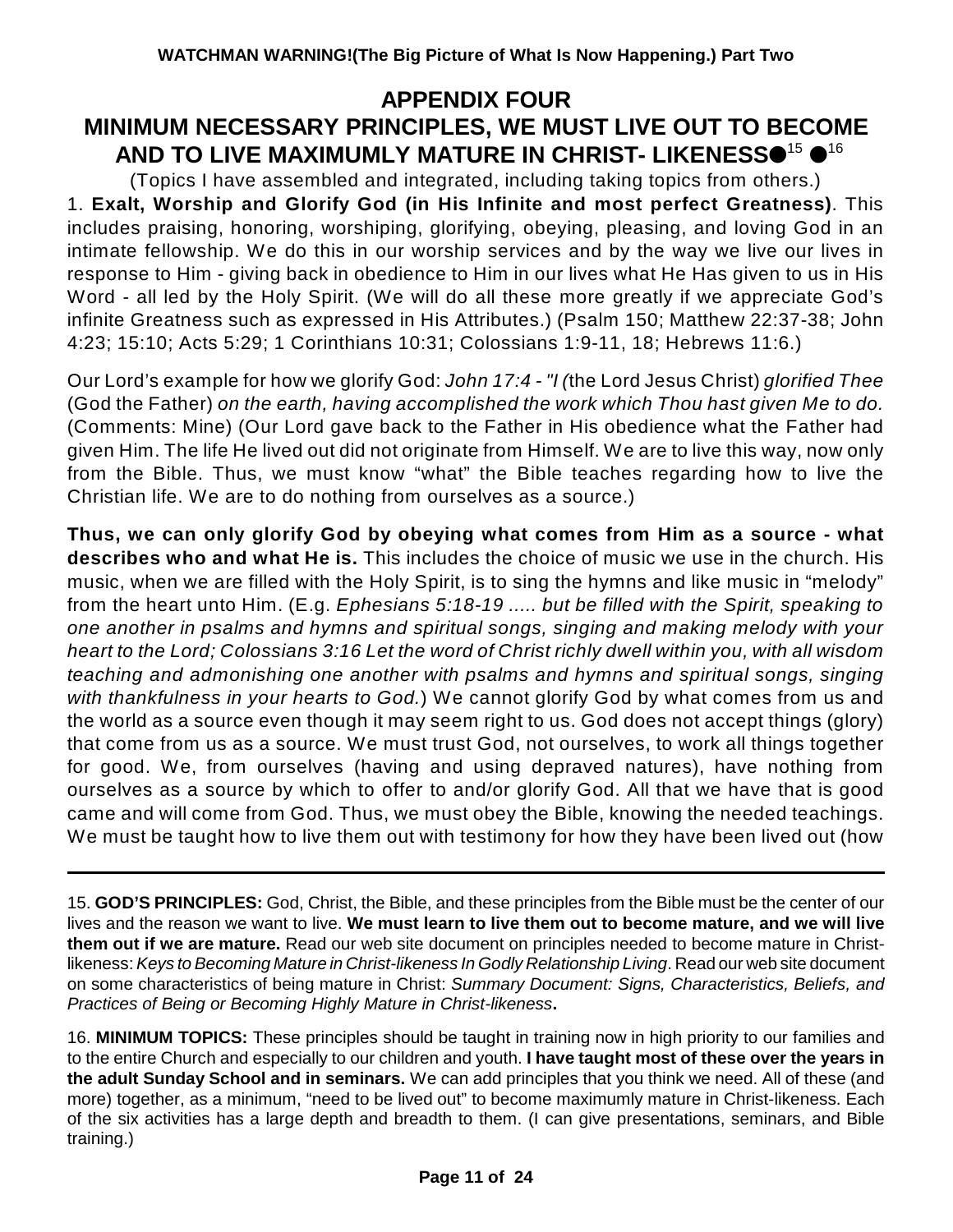### **APPENDIX FOUR MINIMUM NECESSARY PRINCIPLES, WE MUST LIVE OUT TO BECOME AND TO LIVE MAXIMUMLY MATURE IN CHRIST- LIKENESSO<sup>15</sup> O<sup>16</sup>**

(Topics I have assembled and integrated, including taking topics from others.)

1. **Exalt, Worship and Glorify God (in His Infinite and most perfect Greatness)**. This includes praising, honoring, worshiping, glorifying, obeying, pleasing, and loving God in an intimate fellowship. We do this in our worship services and by the way we live our lives in response to Him - giving back in obedience to Him in our lives what He Has given to us in His Word - all led by the Holy Spirit. (We will do all these more greatly if we appreciate God's infinite Greatness such as expressed in His Attributes.) (Psalm 150; Matthew 22:37-38; John 4:23; 15:10; Acts 5:29; 1 Corinthians 10:31; Colossians 1:9-11, 18; Hebrews 11:6.)

Our Lord's example for how we glorify God: *John 17:4 - "I (*the Lord Jesus Christ) *glorified Thee* (God the Father) *on the earth, having accomplished the work which Thou hast given Me to do.* (Comments: Mine) (Our Lord gave back to the Father in His obedience what the Father had given Him. The life He lived out did not originate from Himself. We are to live this way, now only from the Bible. Thus, we must know "what" the Bible teaches regarding how to live the Christian life. We are to do nothing from ourselves as a source.)

**Thus, we can only glorify God by obeying what comes from Him as a source - what describes who and what He is.** This includes the choice of music we use in the church. His music, when we are filled with the Holy Spirit, is to sing the hymns and like music in "melody" from the heart unto Him. (E.g. *Ephesians 5:18-19 ..... but be filled with the Spirit, speaking to one another in psalms and hymns and spiritual songs, singing and making melody with your heart to the Lord; Colossians 3:16 Let the word of Christ richly dwell within you, with all wisdom teaching and admonishing one another with psalms and hymns and spiritual songs, singing with thankfulness in your hearts to God.*) We cannot glorify God by what comes from us and the world as a source even though it may seem right to us. God does not accept things (glory) that come from us as a source. We must trust God, not ourselves, to work all things together for good. We, from ourselves (having and using depraved natures), have nothing from ourselves as a source by which to offer to and/or glorify God. All that we have that is good came and will come from God. Thus, we must obey the Bible, knowing the needed teachings. We must be taught how to live them out with testimony for how they have been lived out (how

15. **GOD'S PRINCIPLES:** God, Christ, the Bible, and these principles from the Bible must be the center of our lives and the reason we want to live. **We must learn to live them out to become mature, and we will live them out if we are mature.** Read our web site document on principles needed to become mature in Christlikeness: *Keys to Becoming Mature in Christ-likeness In Godly Relationship Living*. Read our web site document on some characteristics of being mature in Christ: *Summary Document: Signs, Characteristics, Beliefs, and Practices of Being or Becoming Highly Mature in Christ-likeness***.**

16. **MINIMUM TOPICS:** These principles should be taught in training now in high priority to our families and to the entire Church and especially to our children and youth. **I have taught most of these over the years in the adult Sunday School and in seminars.** We can add principles that you think we need. All of these (and more) together, as a minimum, "need to be lived out" to become maximumly mature in Christ-likeness. Each of the six activities has a large depth and breadth to them. (I can give presentations, seminars, and Bible training.)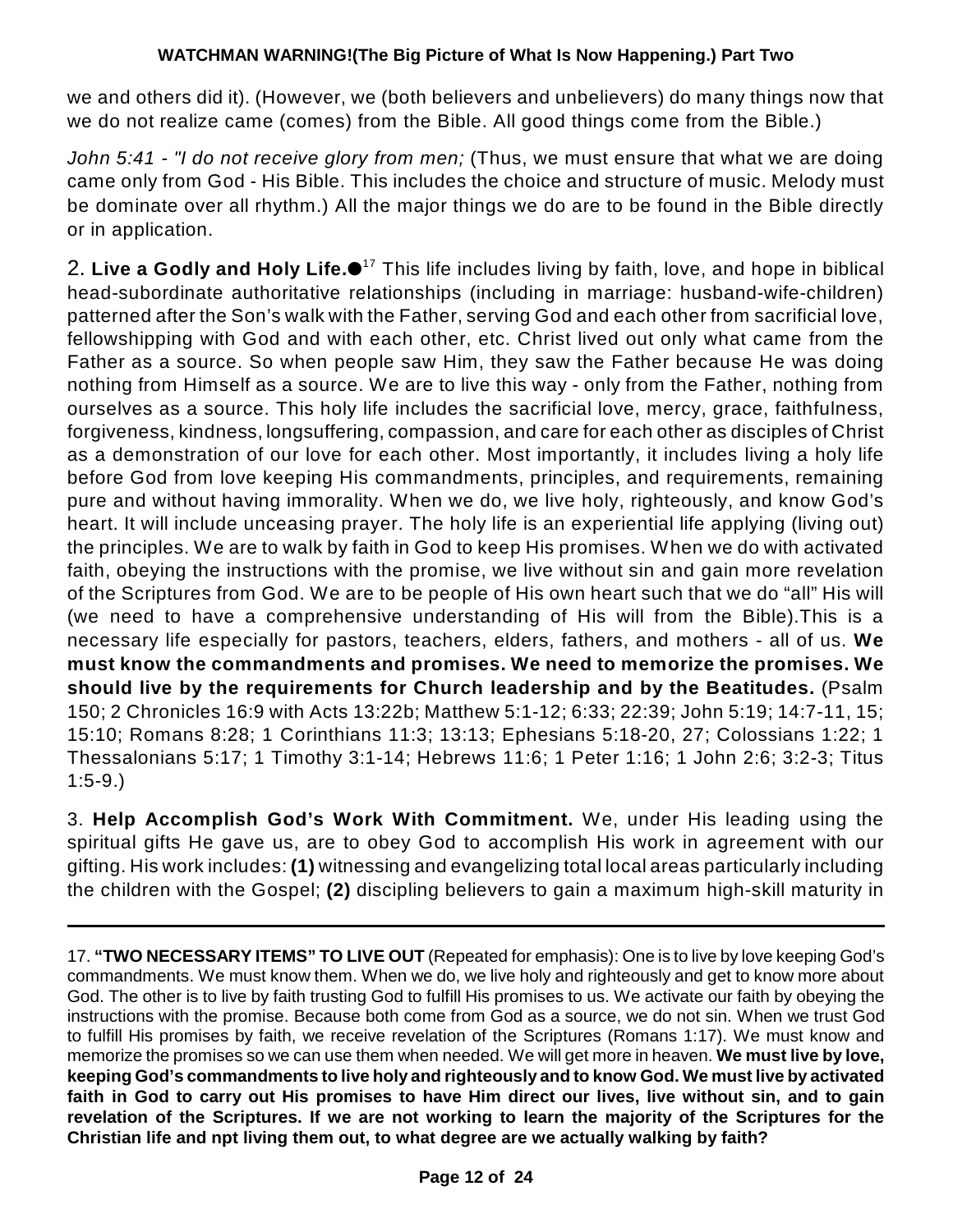we and others did it). (However, we (both believers and unbelievers) do many things now that we do not realize came (comes) from the Bible. All good things come from the Bible.)

*John 5:41 - "I do not receive glory from men;* (Thus, we must ensure that what we are doing came only from God - His Bible. This includes the choice and structure of music. Melody must be dominate over all rhythm.) All the major things we do are to be found in the Bible directly or in application.

2. **Live a Godly and Holy Life.** This life includes living by faith, love, and hope in biblical 17 head-subordinate authoritative relationships (including in marriage: husband-wife-children) patterned after the Son's walk with the Father, serving God and each other from sacrificial love, fellowshipping with God and with each other, etc. Christ lived out only what came from the Father as a source. So when people saw Him, they saw the Father because He was doing nothing from Himself as a source. We are to live this way - only from the Father, nothing from ourselves as a source. This holy life includes the sacrificial love, mercy, grace, faithfulness, forgiveness, kindness, longsuffering, compassion, and care for each other as disciples of Christ as a demonstration of our love for each other. Most importantly, it includes living a holy life before God from love keeping His commandments, principles, and requirements, remaining pure and without having immorality. When we do, we live holy, righteously, and know God's heart. It will include unceasing prayer. The holy life is an experiential life applying (living out) the principles. We are to walk by faith in God to keep His promises. When we do with activated faith, obeying the instructions with the promise, we live without sin and gain more revelation of the Scriptures from God. We are to be people of His own heart such that we do "all" His will (we need to have a comprehensive understanding of His will from the Bible).This is a necessary life especially for pastors, teachers, elders, fathers, and mothers - all of us. **We must know the commandments and promises. We need to memorize the promises. We should live by the requirements for Church leadership and by the Beatitudes.** (Psalm 150; 2 Chronicles 16:9 with Acts 13:22b; Matthew 5:1-12; 6:33; 22:39; John 5:19; 14:7-11, 15; 15:10; Romans 8:28; 1 Corinthians 11:3; 13:13; Ephesians 5:18-20, 27; Colossians 1:22; 1 Thessalonians 5:17; 1 Timothy 3:1-14; Hebrews 11:6; 1 Peter 1:16; 1 John 2:6; 3:2-3; Titus 1:5-9.)

3. **Help Accomplish God's Work With Commitment.** We, under His leading using the spiritual gifts He gave us, are to obey God to accomplish His work in agreement with our gifting. His work includes: **(1)** witnessing and evangelizing total local areas particularly including the children with the Gospel; **(2)** discipling believers to gain a maximum high-skill maturity in

17. **"TWO NECESSARY ITEMS" TO LIVE OUT** (Repeated for emphasis): One is to live by love keeping God's commandments. We must know them. When we do, we live holy and righteously and get to know more about God. The other is to live by faith trusting God to fulfill His promises to us. We activate our faith by obeying the instructions with the promise. Because both come from God as a source, we do not sin. When we trust God to fulfill His promises by faith, we receive revelation of the Scriptures (Romans 1:17). We must know and memorize the promises so we can use them when needed. We will get more in heaven. **We must live by love, keeping God's commandments to live holy and righteously and to know God. We must live by activated faith in God to carry out His promises to have Him direct our lives, live without sin, and to gain revelation of the Scriptures. If we are not working to learn the majority of the Scriptures for the Christian life and npt living them out, to what degree are we actually walking by faith?**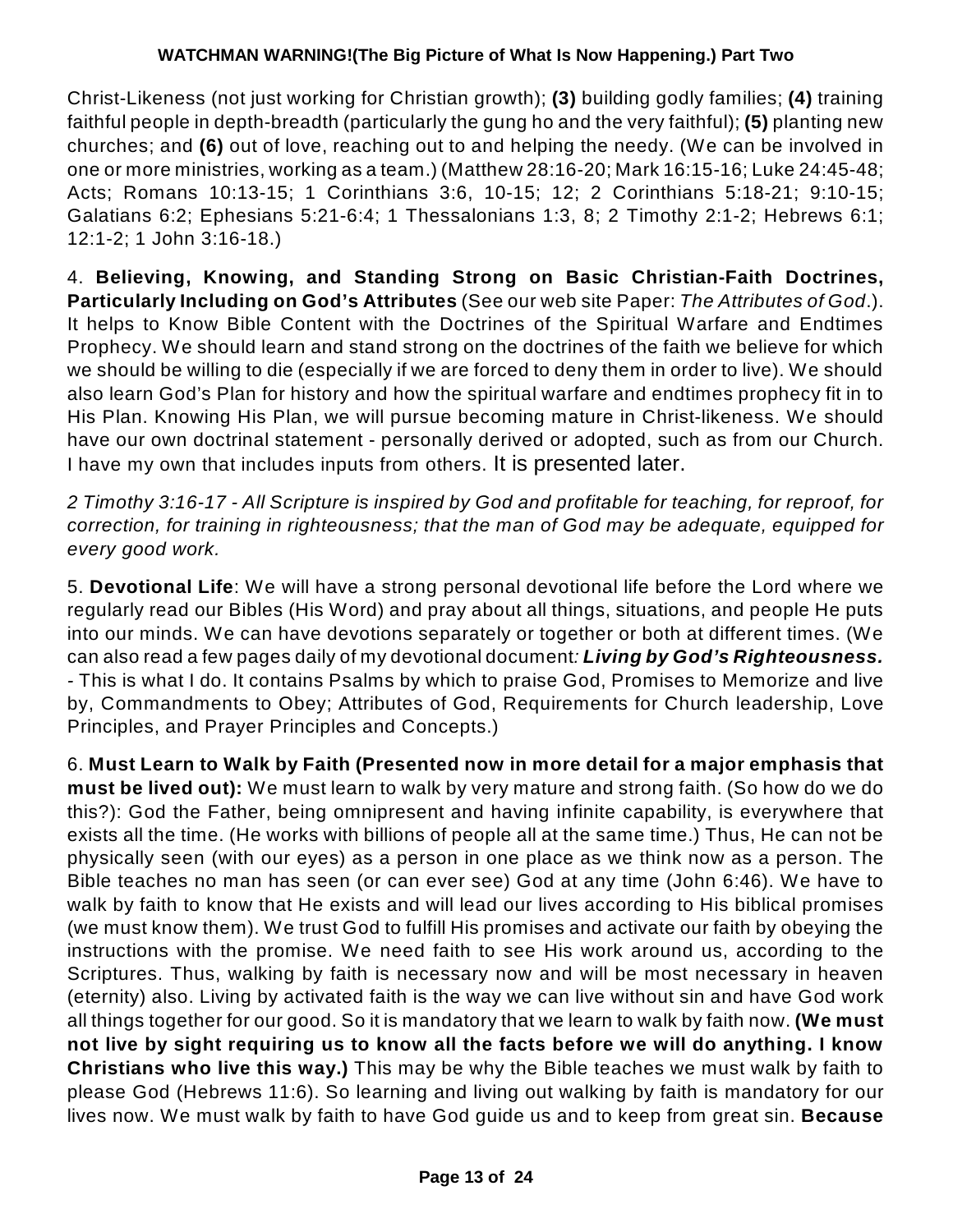Christ-Likeness (not just working for Christian growth); **(3)** building godly families; **(4)** training faithful people in depth-breadth (particularly the gung ho and the very faithful); **(5)** planting new churches; and **(6)** out of love, reaching out to and helping the needy. (We can be involved in one or more ministries, working as a team.) (Matthew 28:16-20; Mark 16:15-16; Luke 24:45-48; Acts; Romans 10:13-15; 1 Corinthians 3:6, 10-15; 12; 2 Corinthians 5:18-21; 9:10-15; Galatians 6:2; Ephesians 5:21-6:4; 1 Thessalonians 1:3, 8; 2 Timothy 2:1-2; Hebrews 6:1; 12:1-2; 1 John 3:16-18.)

4. **Believing, Knowing, and Standing Strong on Basic Christian-Faith Doctrines, Particularly Including on God's Attributes** (See our web site Paper: *The Attributes of God*.). It helps to Know Bible Content with the Doctrines of the Spiritual Warfare and Endtimes Prophecy. We should learn and stand strong on the doctrines of the faith we believe for which we should be willing to die (especially if we are forced to deny them in order to live). We should also learn God's Plan for history and how the spiritual warfare and endtimes prophecy fit in to His Plan. Knowing His Plan, we will pursue becoming mature in Christ-likeness. We should have our own doctrinal statement - personally derived or adopted, such as from our Church. I have my own that includes inputs from others. It is presented later.

*2 Timothy 3:16-17 - All Scripture is inspired by God and profitable for teaching, for reproof, for correction, for training in righteousness; that the man of God may be adequate, equipped for every good work.*

5. **Devotional Life**: We will have a strong personal devotional life before the Lord where we regularly read our Bibles (His Word) and pray about all things, situations, and people He puts into our minds. We can have devotions separately or together or both at different times. (We can also read a few pages daily of my devotional document*: Living by God's Righteousness. -* This is what I do. It contains Psalms by which to praise God, Promises to Memorize and live by, Commandments to Obey; Attributes of God, Requirements for Church leadership, Love Principles, and Prayer Principles and Concepts.)

6. **Must Learn to Walk by Faith (Presented now in more detail for a major emphasis that must be lived out):** We must learn to walk by very mature and strong faith. (So how do we do this?): God the Father, being omnipresent and having infinite capability, is everywhere that exists all the time. (He works with billions of people all at the same time.) Thus, He can not be physically seen (with our eyes) as a person in one place as we think now as a person. The Bible teaches no man has seen (or can ever see) God at any time (John 6:46). We have to walk by faith to know that He exists and will lead our lives according to His biblical promises (we must know them). We trust God to fulfill His promises and activate our faith by obeying the instructions with the promise. We need faith to see His work around us, according to the Scriptures. Thus, walking by faith is necessary now and will be most necessary in heaven (eternity) also. Living by activated faith is the way we can live without sin and have God work all things together for our good. So it is mandatory that we learn to walk by faith now. **(We must not live by sight requiring us to know all the facts before we will do anything. I know Christians who live this way.)** This may be why the Bible teaches we must walk by faith to please God (Hebrews 11:6). So learning and living out walking by faith is mandatory for our lives now. We must walk by faith to have God guide us and to keep from great sin. **Because**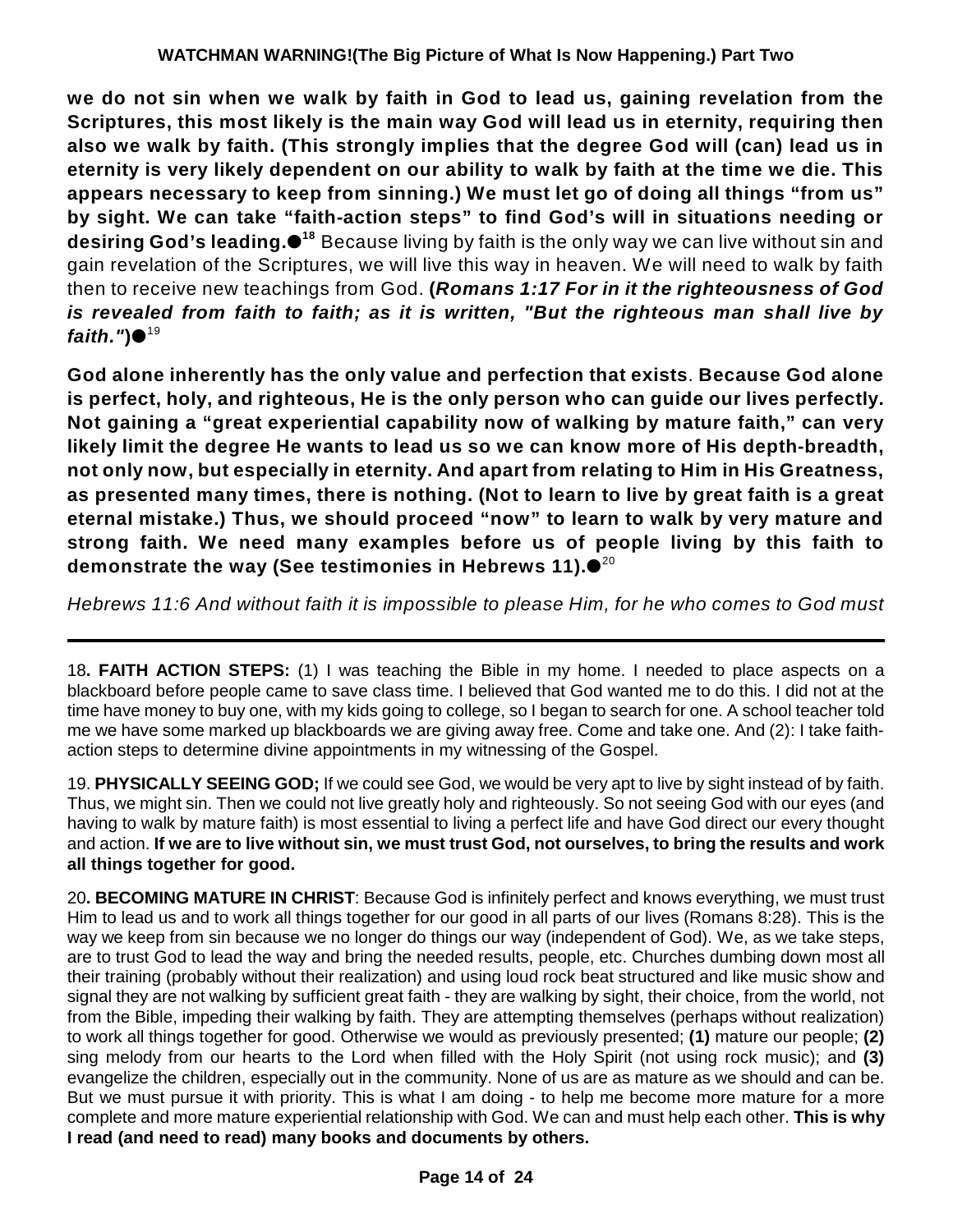**we do not sin when we walk by faith in God to lead us, gaining revelation from the Scriptures, this most likely is the main way God will lead us in eternity, requiring then also we walk by faith. (This strongly implies that the degree God will (can) lead us in eternity is very likely dependent on our ability to walk by faith at the time we die. This appears necessary to keep from sinning.) We must let go of doing all things "from us" by sight. We can take "faith-action steps" to find God's will in situations needing or desiring God's leading.●<sup>18</sup> B**ecause living by faith is the only way we can live without sin and gain revelation of the Scriptures, we will live this way in heaven. We will need to walk by faith then to receive new teachings from God. **(***Romans 1:17 For in it the righteousness of God is revealed from faith to faith; as it is written, "But the righteous man shall live by faith."***)** 19

**God alone inherently has the only value and perfection that exists**. **Because God alone is perfect, holy, and righteous, He is the only person who can guide our lives perfectly. Not gaining a "great experiential capability now of walking by mature faith," can very likely limit the degree He wants to lead us so we can know more of His depth-breadth, not only now, but especially in eternity. And apart from relating to Him in His Greatness, as presented many times, there is nothing. (Not to learn to live by great faith is a great eternal mistake.) Thus, we should proceed "now" to learn to walk by very mature and strong faith. We need many examples before us of people living by this faith to demonstrate the way (See testimonies in Hebrews 11).** 20

*Hebrews 11:6 And without faith it is impossible to please Him, for he who comes to God must*

18**. FAITH ACTION STEPS:** (1) I was teaching the Bible in my home. I needed to place aspects on a blackboard before people came to save class time. I believed that God wanted me to do this. I did not at the time have money to buy one, with my kids going to college, so I began to search for one. A school teacher told me we have some marked up blackboards we are giving away free. Come and take one. And (2): I take faithaction steps to determine divine appointments in my witnessing of the Gospel.

19. **PHYSICALLY SEEING GOD;** If we could see God, we would be very apt to live by sight instead of by faith. Thus, we might sin. Then we could not live greatly holy and righteously. So not seeing God with our eyes (and having to walk by mature faith) is most essential to living a perfect life and have God direct our every thought and action. **If we are to live without sin, we must trust God, not ourselves, to bring the results and work all things together for good.**

20**. BECOMING MATURE IN CHRIST**: Because God is infinitely perfect and knows everything, we must trust Him to lead us and to work all things together for our good in all parts of our lives (Romans 8:28). This is the way we keep from sin because we no longer do things our way (independent of God). We, as we take steps, are to trust God to lead the way and bring the needed results, people, etc. Churches dumbing down most all their training (probably without their realization) and using loud rock beat structured and like music show and signal they are not walking by sufficient great faith - they are walking by sight, their choice, from the world, not from the Bible, impeding their walking by faith. They are attempting themselves (perhaps without realization) to work all things together for good. Otherwise we would as previously presented; **(1)** mature our people; **(2)** sing melody from our hearts to the Lord when filled with the Holy Spirit (not using rock music); and **(3)** evangelize the children, especially out in the community. None of us are as mature as we should and can be. But we must pursue it with priority. This is what I am doing - to help me become more mature for a more complete and more mature experiential relationship with God. We can and must help each other. **This is why I read (and need to read) many books and documents by others.**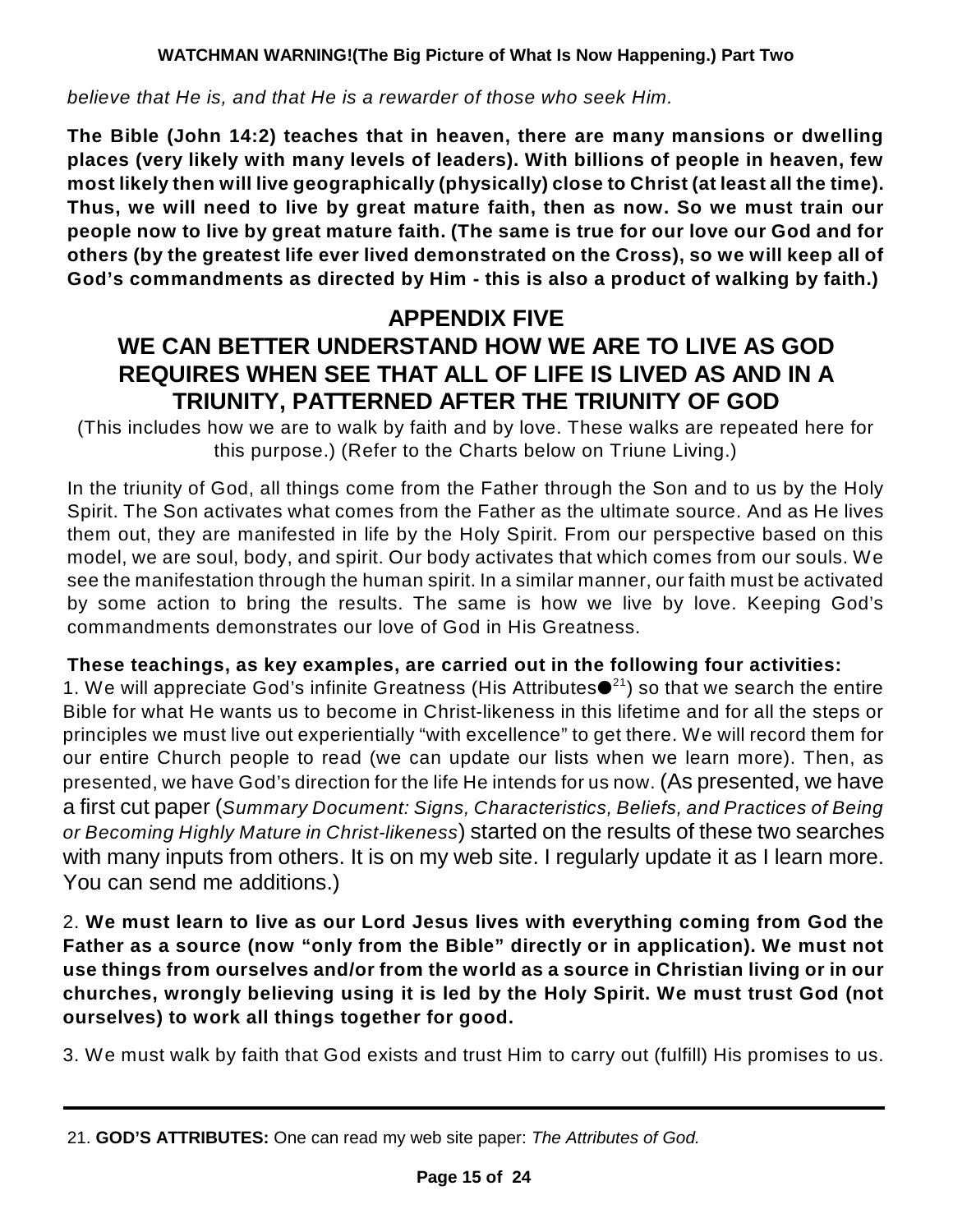*believe that He is, and that He is a rewarder of those who seek Him.*

**The Bible (John 14:2) teaches that in heaven, there are many mansions or dwelling places (very likely with many levels of leaders). With billions of people in heaven, few most likely then will live geographically (physically) close to Christ (at least all the time). Thus, we will need to live by great mature faith, then as now. So we must train our people now to live by great mature faith. (The same is true for our love our God and for others (by the greatest life ever lived demonstrated on the Cross), so we will keep all of God's commandments as directed by Him - this is also a product of walking by faith.)**

# **APPENDIX FIVE**

# **WE CAN BETTER UNDERSTAND HOW WE ARE TO LIVE AS GOD REQUIRES WHEN SEE THAT ALL OF LIFE IS LIVED AS AND IN A TRIUNITY, PATTERNED AFTER THE TRIUNITY OF GOD**

(This includes how we are to walk by faith and by love. These walks are repeated here for this purpose.) (Refer to the Charts below on Triune Living.)

In the triunity of God, all things come from the Father through the Son and to us by the Holy Spirit. The Son activates what comes from the Father as the ultimate source. And as He lives them out, they are manifested in life by the Holy Spirit. From our perspective based on this model, we are soul, body, and spirit. Our body activates that which comes from our souls. We see the manifestation through the human spirit. In a similar manner, our faith must be activated by some action to bring the results. The same is how we live by love. Keeping God's commandments demonstrates our love of God in His Greatness.

### **These teachings, as key examples, are carried out in the following four activities:**

1. We will appreciate God's infinite Greatness (His Attributes $\bullet$ <sup>21</sup>) so that we search the entire Bible for what He wants us to become in Christ-likeness in this lifetime and for all the steps or principles we must live out experientially "with excellence" to get there. We will record them for our entire Church people to read (we can update our lists when we learn more). Then, as presented, we have God's direction for the life He intends for us now. (As presented, we have a first cut paper (*Summary Document: Signs, Characteristics, Beliefs, and Practices of Being or Becoming Highly Mature in Christ-likeness*) started on the results of these two searches with many inputs from others. It is on my web site. I regularly update it as I learn more. You can send me additions.)

2. **We must learn to live as our Lord Jesus lives with everything coming from God the Father as a source (now "only from the Bible" directly or in application). We must not use things from ourselves and/or from the world as a source in Christian living or in our churches, wrongly believing using it is led by the Holy Spirit. We must trust God (not ourselves) to work all things together for good.**

3. We must walk by faith that God exists and trust Him to carry out (fulfill) His promises to us.

<sup>21.</sup> **GOD'S ATTRIBUTES:** One can read my web site paper: *The Attributes of God.*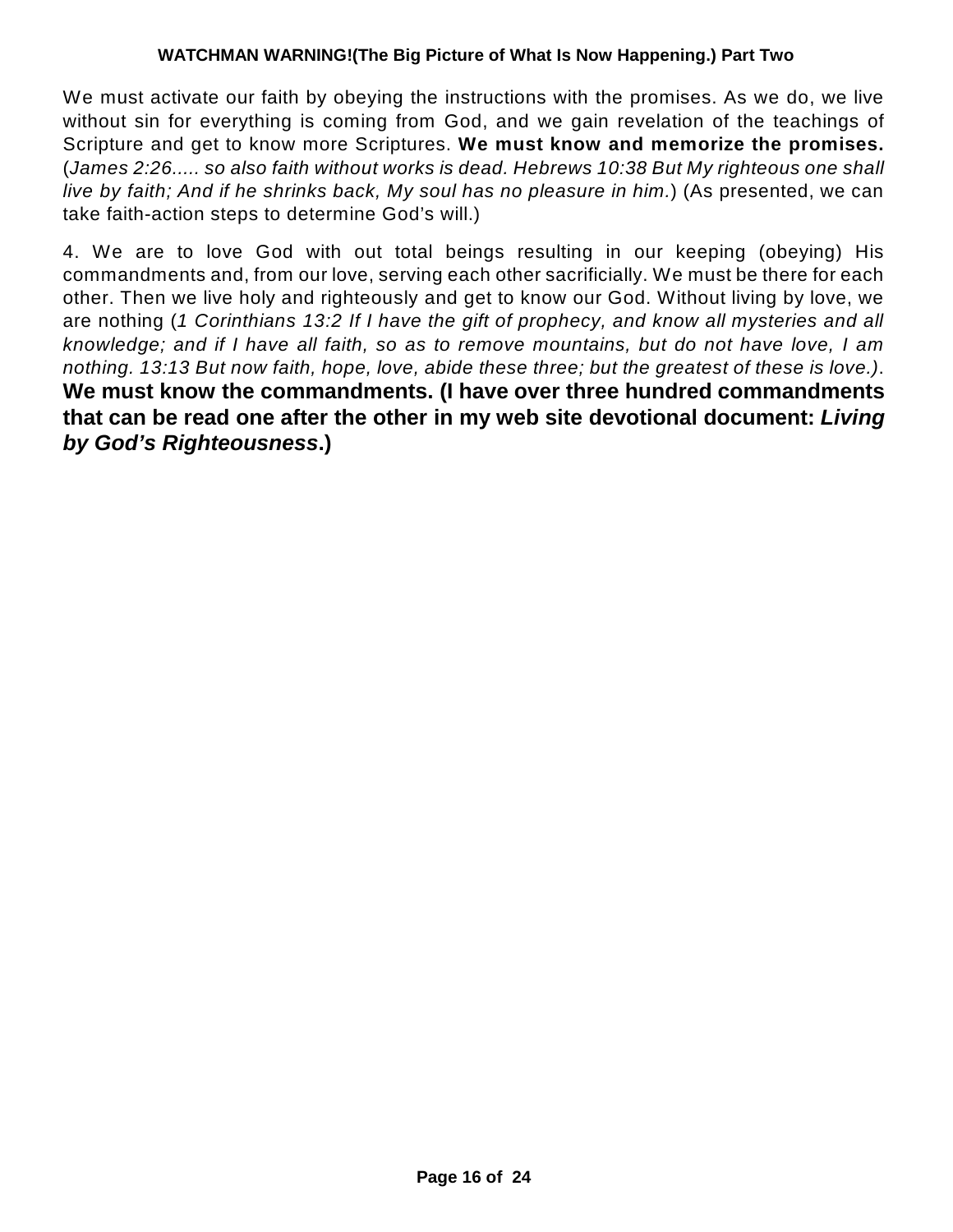We must activate our faith by obeying the instructions with the promises. As we do, we live without sin for everything is coming from God, and we gain revelation of the teachings of Scripture and get to know more Scriptures. **We must know and memorize the promises.** (*James 2:26..... so also faith without works is dead. Hebrews 10:38 But My righteous one shall live by faith; And if he shrinks back, My soul has no pleasure in him.*) (As presented, we can take faith-action steps to determine God's will.)

4. We are to love God with out total beings resulting in our keeping (obeying) His commandments and, from our love, serving each other sacrificially. We must be there for each other. Then we live holy and righteously and get to know our God. Without living by love, we are nothing (*1 Corinthians 13:2 If I have the gift of prophecy, and know all mysteries and all knowledge; and if I have all faith, so as to remove mountains, but do not have love, I am nothing. 13:13 But now faith, hope, love, abide these three; but the greatest of these is love.)*. **We must know the commandments. (I have over three hundred commandments that can be read one after the other in my web site devotional document:** *Living by God's Righteousness***.)**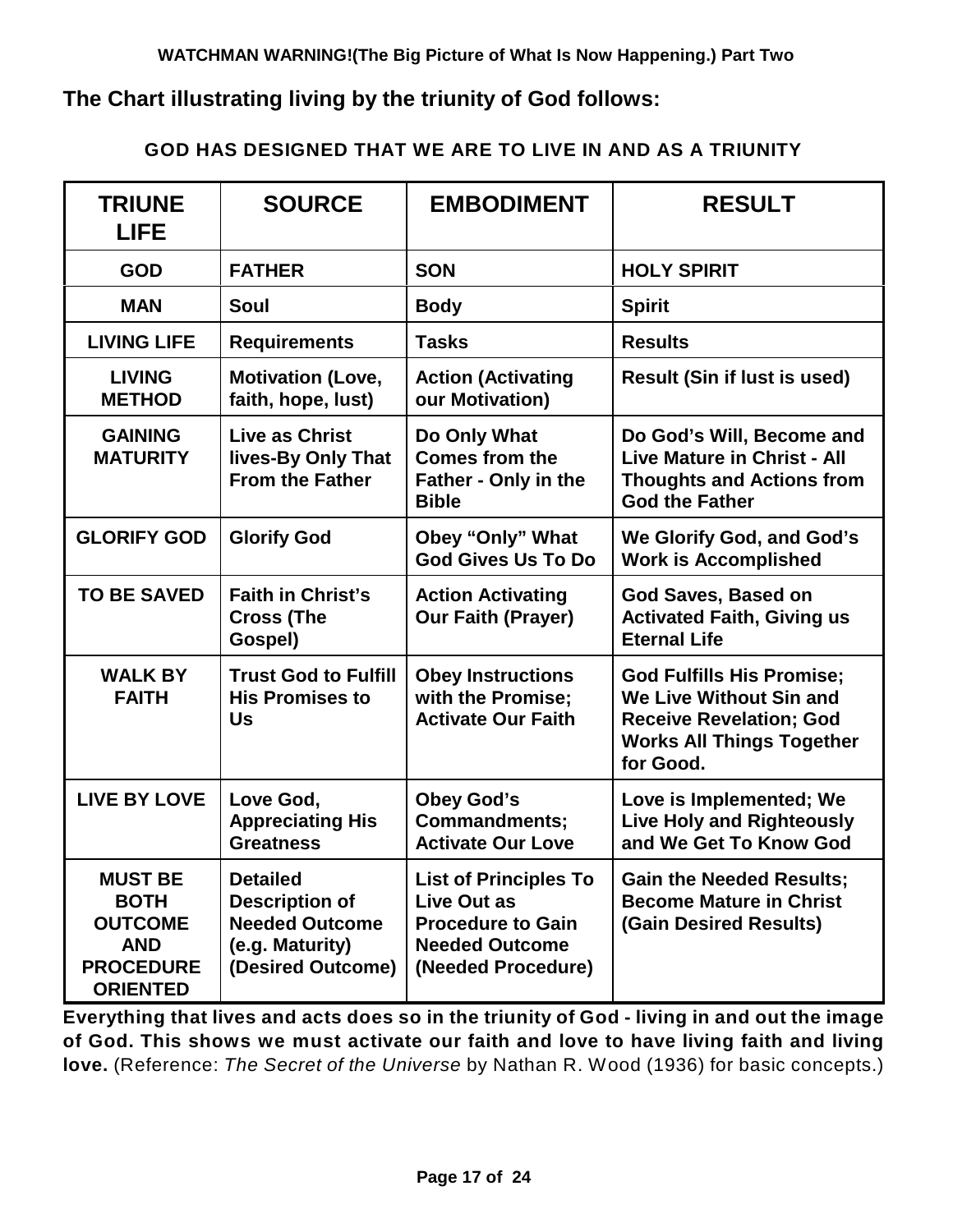### **The Chart illustrating living by the triunity of God follows:**

### **GOD HAS DESIGNED THAT WE ARE TO LIVE IN AND AS A TRIUNITY**

| <b>TRIUNE</b><br><b>LIFE</b>                                                                         | <b>SOURCE</b>                                                                                             | <b>EMBODIMENT</b>                                                                                                             | <b>RESULT</b>                                                                                                                                         |  |
|------------------------------------------------------------------------------------------------------|-----------------------------------------------------------------------------------------------------------|-------------------------------------------------------------------------------------------------------------------------------|-------------------------------------------------------------------------------------------------------------------------------------------------------|--|
| <b>GOD</b>                                                                                           | <b>FATHER</b>                                                                                             | <b>SON</b>                                                                                                                    | <b>HOLY SPIRIT</b>                                                                                                                                    |  |
| <b>MAN</b>                                                                                           | Soul                                                                                                      | <b>Body</b>                                                                                                                   | <b>Spirit</b>                                                                                                                                         |  |
| <b>LIVING LIFE</b>                                                                                   | <b>Requirements</b>                                                                                       | <b>Tasks</b>                                                                                                                  | <b>Results</b>                                                                                                                                        |  |
| <b>LIVING</b><br><b>METHOD</b>                                                                       | <b>Motivation (Love,</b><br>faith, hope, lust)                                                            | <b>Action (Activating</b><br>our Motivation)                                                                                  | <b>Result (Sin if lust is used)</b>                                                                                                                   |  |
| <b>GAINING</b><br><b>MATURITY</b>                                                                    | <b>Live as Christ</b><br>lives-By Only That<br><b>From the Father</b>                                     | Do Only What<br><b>Comes from the</b><br>Father - Only in the<br><b>Bible</b>                                                 | Do God's Will, Become and<br><b>Live Mature in Christ - All</b><br><b>Thoughts and Actions from</b><br><b>God the Father</b>                          |  |
| <b>GLORIFY GOD</b>                                                                                   | <b>Glorify God</b>                                                                                        | Obey "Only" What<br><b>God Gives Us To Do</b>                                                                                 | We Glorify God, and God's<br><b>Work is Accomplished</b>                                                                                              |  |
| <b>TO BE SAVED</b>                                                                                   | <b>Faith in Christ's</b><br><b>Cross (The</b><br>Gospel)                                                  | <b>Action Activating</b><br><b>Our Faith (Prayer)</b>                                                                         | <b>God Saves, Based on</b><br><b>Activated Faith, Giving us</b><br><b>Eternal Life</b>                                                                |  |
| <b>WALK BY</b><br><b>FAITH</b>                                                                       | <b>Trust God to Fulfill</b><br><b>His Promises to</b><br>Us                                               | <b>Obey Instructions</b><br>with the Promise;<br><b>Activate Our Faith</b>                                                    | <b>God Fulfills His Promise;</b><br><b>We Live Without Sin and</b><br><b>Receive Revelation; God</b><br><b>Works All Things Together</b><br>for Good. |  |
| <b>LIVE BY LOVE</b>                                                                                  | Love God,<br><b>Appreciating His</b><br><b>Greatness</b>                                                  | <b>Obey God's</b><br>Commandments;<br><b>Activate Our Love</b>                                                                | Love is Implemented; We<br><b>Live Holy and Righteously</b><br>and We Get To Know God                                                                 |  |
| <b>MUST BE</b><br><b>BOTH</b><br><b>OUTCOME</b><br><b>AND</b><br><b>PROCEDURE</b><br><b>ORIENTED</b> | <b>Detailed</b><br><b>Description of</b><br><b>Needed Outcome</b><br>(e.g. Maturity)<br>(Desired Outcome) | <b>List of Principles To</b><br><b>Live Out as</b><br><b>Procedure to Gain</b><br><b>Needed Outcome</b><br>(Needed Procedure) | <b>Gain the Needed Results;</b><br><b>Become Mature in Christ</b><br>(Gain Desired Results)                                                           |  |

**Everything that lives and acts does so in the triunity of God - living in and out the image of God. This shows we must activate our faith and love to have living faith and living love.** (Reference: *The Secret of the Universe* by Nathan R. Wood (1936) for basic concepts.)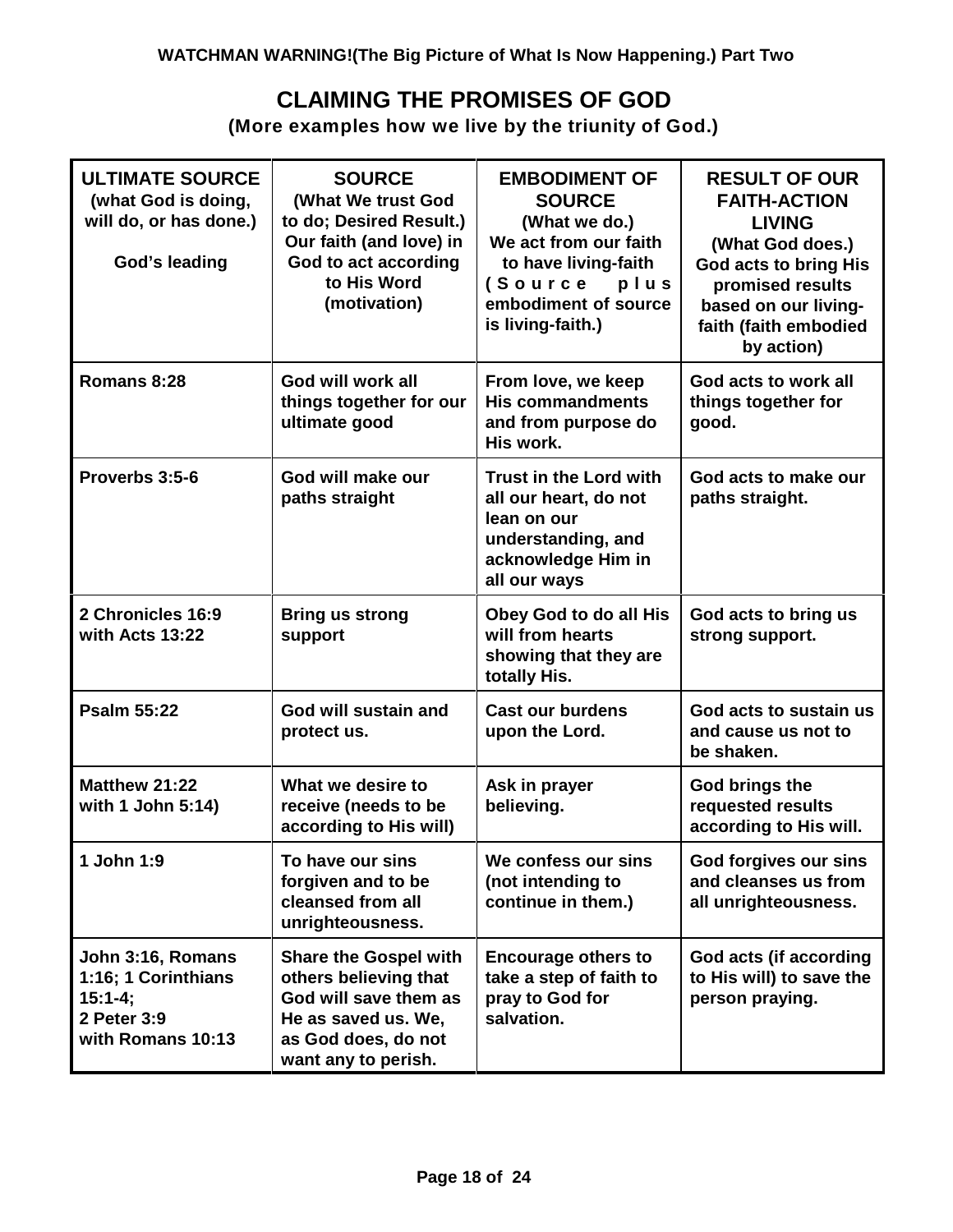# **CLAIMING THE PROMISES OF GOD**

**(More examples how we live by the triunity of God.)**

| <b>ULTIMATE SOURCE</b><br>(what God is doing,<br>will do, or has done.)<br>God's leading    | <b>SOURCE</b><br>(What We trust God<br>to do; Desired Result.)<br>Our faith (and love) in<br>God to act according<br>to His Word<br>(motivation)    | <b>EMBODIMENT OF</b><br><b>SOURCE</b><br>(What we do.)<br>We act from our faith<br>to have living-faith<br>(Source<br>plus<br>embodiment of source<br>is living-faith.) | <b>RESULT OF OUR</b><br><b>FAITH-ACTION</b><br><b>LIVING</b><br>(What God does.)<br><b>God acts to bring His</b><br>promised results<br>based on our living-<br>faith (faith embodied<br>by action) |
|---------------------------------------------------------------------------------------------|-----------------------------------------------------------------------------------------------------------------------------------------------------|-------------------------------------------------------------------------------------------------------------------------------------------------------------------------|-----------------------------------------------------------------------------------------------------------------------------------------------------------------------------------------------------|
| Romans 8:28                                                                                 | God will work all<br>things together for our<br>ultimate good                                                                                       | From love, we keep<br><b>His commandments</b><br>and from purpose do<br>His work.                                                                                       | God acts to work all<br>things together for<br>good.                                                                                                                                                |
| Proverbs 3:5-6                                                                              | God will make our<br>paths straight                                                                                                                 | <b>Trust in the Lord with</b><br>all our heart, do not<br>lean on our<br>understanding, and<br>acknowledge Him in<br>all our ways                                       | God acts to make our<br>paths straight.                                                                                                                                                             |
| 2 Chronicles 16:9<br>with Acts 13:22                                                        | <b>Bring us strong</b><br>support                                                                                                                   | Obey God to do all His<br>will from hearts<br>showing that they are<br>totally His.                                                                                     | God acts to bring us<br>strong support.                                                                                                                                                             |
| <b>Psalm 55:22</b>                                                                          | God will sustain and<br>protect us.                                                                                                                 | <b>Cast our burdens</b><br>upon the Lord.                                                                                                                               | God acts to sustain us<br>and cause us not to<br>be shaken.                                                                                                                                         |
| Matthew 21:22<br>with 1 John 5:14)                                                          | What we desire to<br>receive (needs to be<br>according to His will)                                                                                 | Ask in prayer<br>believing.                                                                                                                                             | God brings the<br>requested results<br>according to His will.                                                                                                                                       |
| 1 John 1:9                                                                                  | To have our sins<br>forgiven and to be<br>cleansed from all<br>unrighteousness.                                                                     | We confess our sins<br>(not intending to<br>continue in them.)                                                                                                          | God forgives our sins<br>and cleanses us from<br>all unrighteousness.                                                                                                                               |
| John 3:16, Romans<br>1:16; 1 Corinthians<br>$15:1 - 4;$<br>2 Peter 3:9<br>with Romans 10:13 | <b>Share the Gospel with</b><br>others believing that<br>God will save them as<br>He as saved us. We,<br>as God does, do not<br>want any to perish. | <b>Encourage others to</b><br>take a step of faith to<br>pray to God for<br>salvation.                                                                                  | God acts (if according<br>to His will) to save the<br>person praying.                                                                                                                               |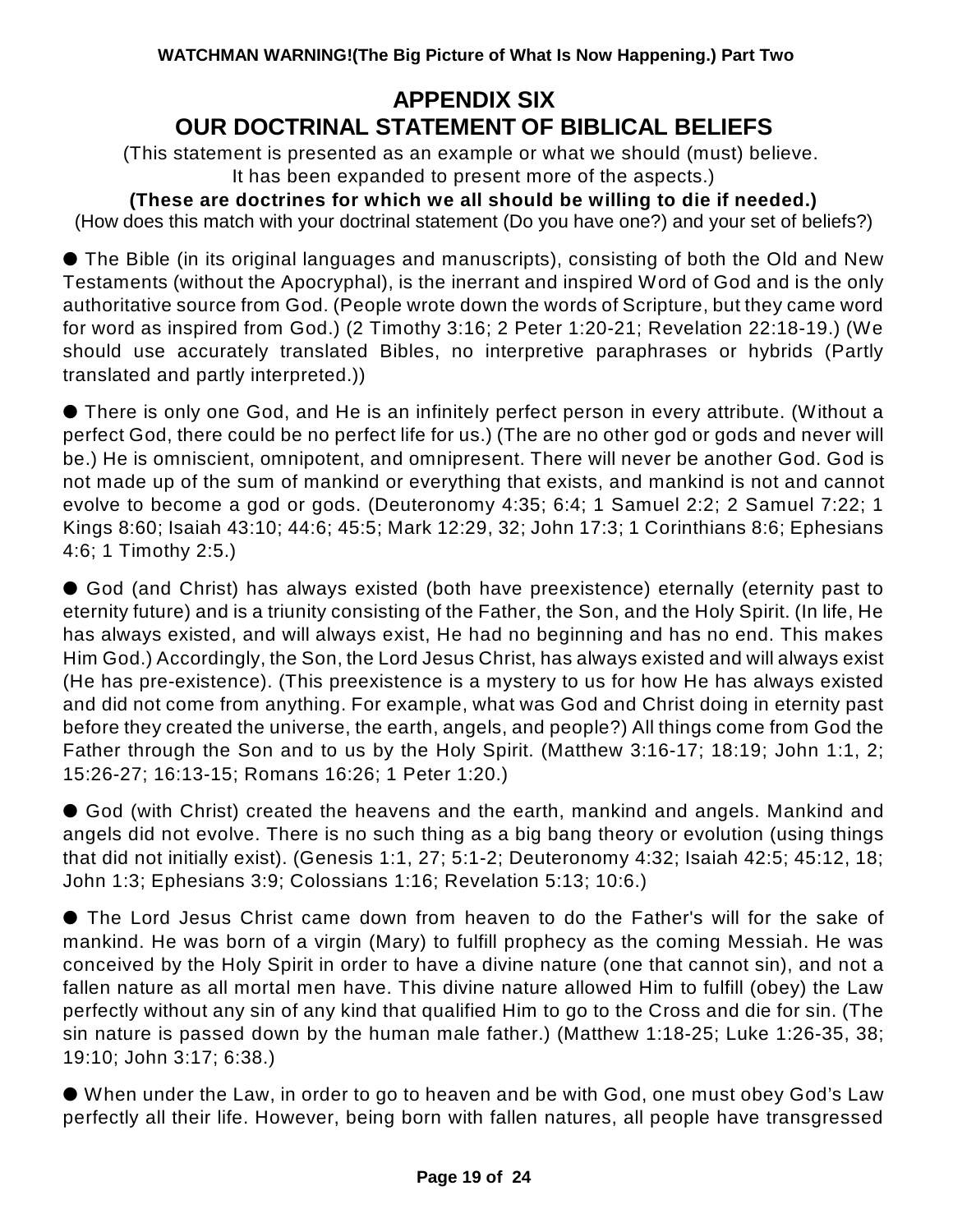# **APPENDIX SIX OUR DOCTRINAL STATEMENT OF BIBLICAL BELIEFS**

(This statement is presented as an example or what we should (must) believe. It has been expanded to present more of the aspects.)

**(These are doctrines for which we all should be willing to die if needed.)** (How does this match with your doctrinal statement (Do you have one?) and your set of beliefs?)

 The Bible (in its original languages and manuscripts), consisting of both the Old and New Testaments (without the Apocryphal), is the inerrant and inspired Word of God and is the only authoritative source from God. (People wrote down the words of Scripture, but they came word for word as inspired from God.) (2 Timothy 3:16; 2 Peter 1:20-21; Revelation 22:18-19.) (We should use accurately translated Bibles, no interpretive paraphrases or hybrids (Partly translated and partly interpreted.))

 There is only one God, and He is an infinitely perfect person in every attribute. (Without a perfect God, there could be no perfect life for us.) (The are no other god or gods and never will be.) He is omniscient, omnipotent, and omnipresent. There will never be another God. God is not made up of the sum of mankind or everything that exists, and mankind is not and cannot evolve to become a god or gods. (Deuteronomy 4:35; 6:4; 1 Samuel 2:2; 2 Samuel 7:22; 1 Kings 8:60; Isaiah 43:10; 44:6; 45:5; Mark 12:29, 32; John 17:3; 1 Corinthians 8:6; Ephesians 4:6; 1 Timothy 2:5.)

 God (and Christ) has always existed (both have preexistence) eternally (eternity past to eternity future) and is a triunity consisting of the Father, the Son, and the Holy Spirit. (In life, He has always existed, and will always exist, He had no beginning and has no end. This makes Him God.) Accordingly, the Son, the Lord Jesus Christ, has always existed and will always exist (He has pre-existence). (This preexistence is a mystery to us for how He has always existed and did not come from anything. For example, what was God and Christ doing in eternity past before they created the universe, the earth, angels, and people?) All things come from God the Father through the Son and to us by the Holy Spirit. (Matthew 3:16-17; 18:19; John 1:1, 2; 15:26-27; 16:13-15; Romans 16:26; 1 Peter 1:20.)

 God (with Christ) created the heavens and the earth, mankind and angels. Mankind and angels did not evolve. There is no such thing as a big bang theory or evolution (using things that did not initially exist). (Genesis 1:1, 27; 5:1-2; Deuteronomy 4:32; Isaiah 42:5; 45:12, 18; John 1:3; Ephesians 3:9; Colossians 1:16; Revelation 5:13; 10:6.)

 The Lord Jesus Christ came down from heaven to do the Father's will for the sake of mankind. He was born of a virgin (Mary) to fulfill prophecy as the coming Messiah. He was conceived by the Holy Spirit in order to have a divine nature (one that cannot sin), and not a fallen nature as all mortal men have. This divine nature allowed Him to fulfill (obey) the Law perfectly without any sin of any kind that qualified Him to go to the Cross and die for sin. (The sin nature is passed down by the human male father.) (Matthew 1:18-25; Luke 1:26-35, 38; 19:10; John 3:17; 6:38.)

 When under the Law, in order to go to heaven and be with God, one must obey God's Law perfectly all their life. However, being born with fallen natures, all people have transgressed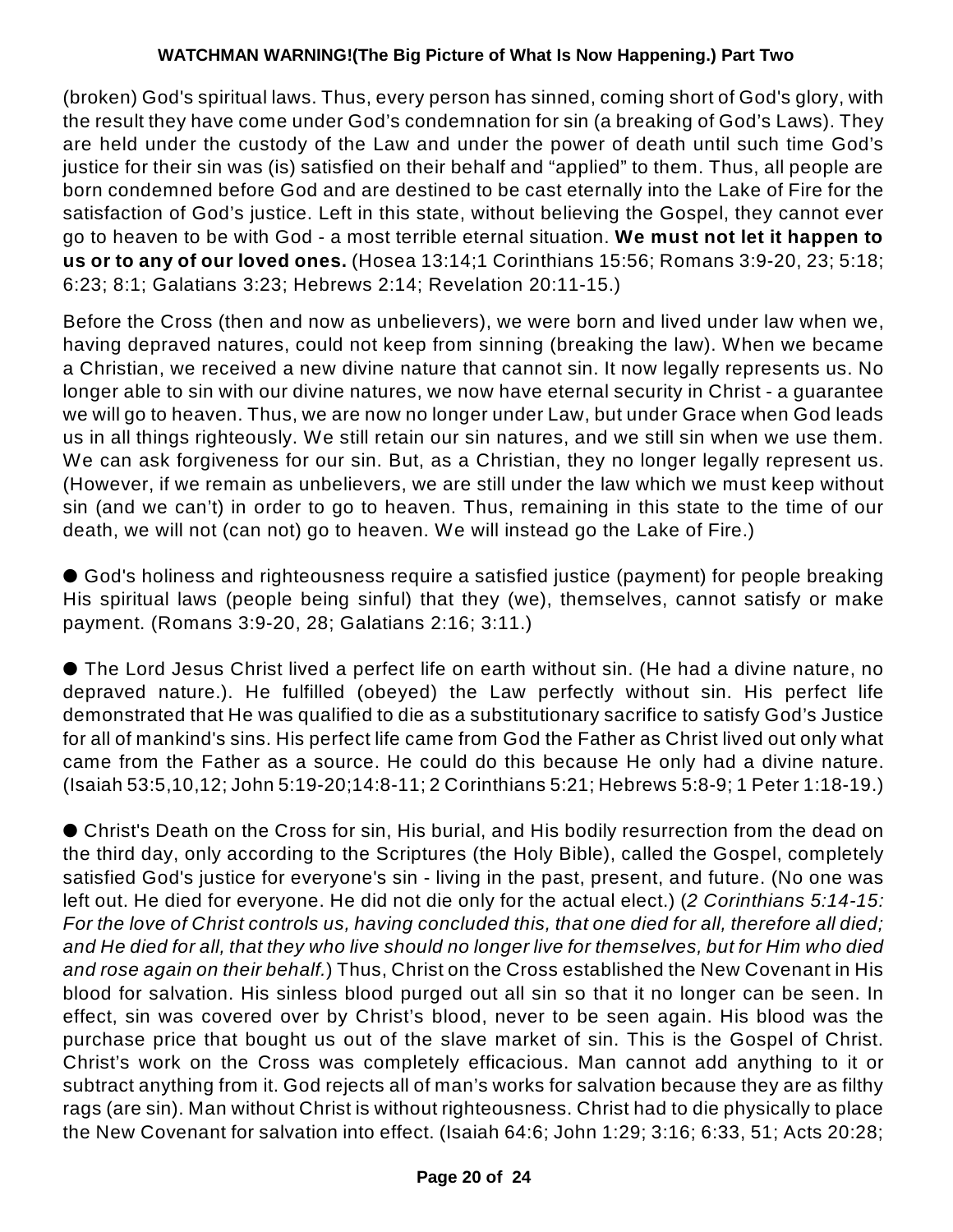(broken) God's spiritual laws. Thus, every person has sinned, coming short of God's glory, with the result they have come under God's condemnation for sin (a breaking of God's Laws). They are held under the custody of the Law and under the power of death until such time God's justice for their sin was (is) satisfied on their behalf and "applied" to them. Thus, all people are born condemned before God and are destined to be cast eternally into the Lake of Fire for the satisfaction of God's justice. Left in this state, without believing the Gospel, they cannot ever go to heaven to be with God - a most terrible eternal situation. **We must not let it happen to us or to any of our loved ones.** (Hosea 13:14;1 Corinthians 15:56; Romans 3:9-20, 23; 5:18; 6:23; 8:1; Galatians 3:23; Hebrews 2:14; Revelation 20:11-15.)

Before the Cross (then and now as unbelievers), we were born and lived under law when we, having depraved natures, could not keep from sinning (breaking the law). When we became a Christian, we received a new divine nature that cannot sin. It now legally represents us. No longer able to sin with our divine natures, we now have eternal security in Christ - a guarantee we will go to heaven. Thus, we are now no longer under Law, but under Grace when God leads us in all things righteously. We still retain our sin natures, and we still sin when we use them. We can ask forgiveness for our sin. But, as a Christian, they no longer legally represent us. (However, if we remain as unbelievers, we are still under the law which we must keep without sin (and we can't) in order to go to heaven. Thus, remaining in this state to the time of our death, we will not (can not) go to heaven. We will instead go the Lake of Fire.)

 God's holiness and righteousness require a satisfied justice (payment) for people breaking His spiritual laws (people being sinful) that they (we), themselves, cannot satisfy or make payment. (Romans 3:9-20, 28; Galatians 2:16; 3:11.)

 The Lord Jesus Christ lived a perfect life on earth without sin. (He had a divine nature, no depraved nature.). He fulfilled (obeyed) the Law perfectly without sin. His perfect life demonstrated that He was qualified to die as a substitutionary sacrifice to satisfy God's Justice for all of mankind's sins. His perfect life came from God the Father as Christ lived out only what came from the Father as a source. He could do this because He only had a divine nature. (Isaiah 53:5,10,12; John 5:19-20;14:8-11; 2 Corinthians 5:21; Hebrews 5:8-9; 1 Peter 1:18-19.)

 Christ's Death on the Cross for sin, His burial, and His bodily resurrection from the dead on the third day, only according to the Scriptures (the Holy Bible), called the Gospel, completely satisfied God's justice for everyone's sin - living in the past, present, and future. (No one was left out. He died for everyone. He did not die only for the actual elect.) (*2 Corinthians 5:14-15:* For the love of Christ controls us, having concluded this, that one died for all, therefore all died; and He died for all, that they who live should no longer live for themselves, but for Him who died *and rose again on their behalf.*) Thus, Christ on the Cross established the New Covenant in His blood for salvation. His sinless blood purged out all sin so that it no longer can be seen. In effect, sin was covered over by Christ's blood, never to be seen again. His blood was the purchase price that bought us out of the slave market of sin. This is the Gospel of Christ. Christ's work on the Cross was completely efficacious. Man cannot add anything to it or subtract anything from it. God rejects all of man's works for salvation because they are as filthy rags (are sin). Man without Christ is without righteousness. Christ had to die physically to place the New Covenant for salvation into effect. (Isaiah 64:6; John 1:29; 3:16; 6:33, 51; Acts 20:28;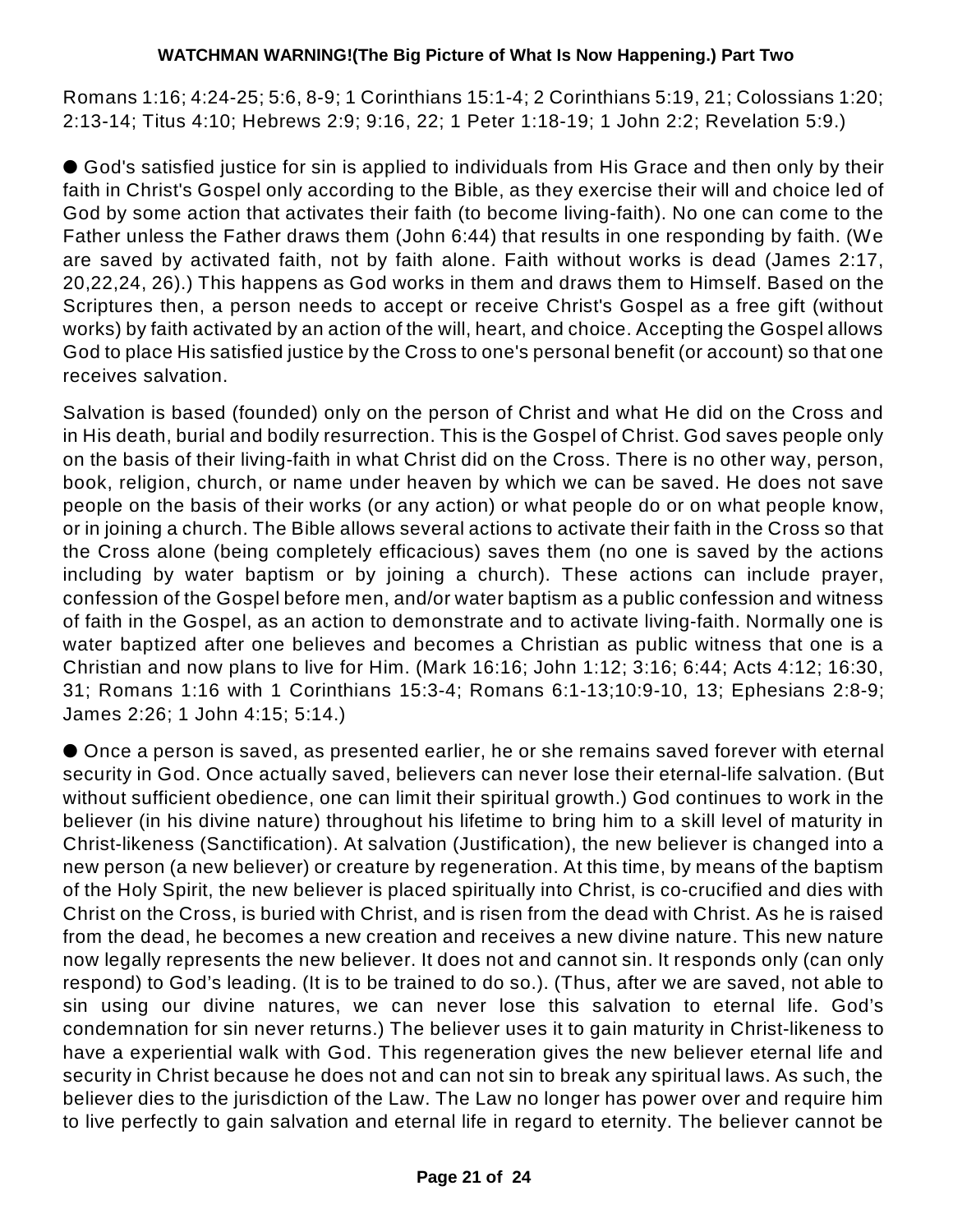Romans 1:16; 4:24-25; 5:6, 8-9; 1 Corinthians 15:1-4; 2 Corinthians 5:19, 21; Colossians 1:20; 2:13-14; Titus 4:10; Hebrews 2:9; 9:16, 22; 1 Peter 1:18-19; 1 John 2:2; Revelation 5:9.)

 God's satisfied justice for sin is applied to individuals from His Grace and then only by their faith in Christ's Gospel only according to the Bible, as they exercise their will and choice led of God by some action that activates their faith (to become living-faith). No one can come to the Father unless the Father draws them (John 6:44) that results in one responding by faith. (We are saved by activated faith, not by faith alone. Faith without works is dead (James 2:17, 20,22,24, 26).) This happens as God works in them and draws them to Himself. Based on the Scriptures then, a person needs to accept or receive Christ's Gospel as a free gift (without works) by faith activated by an action of the will, heart, and choice. Accepting the Gospel allows God to place His satisfied justice by the Cross to one's personal benefit (or account) so that one receives salvation.

Salvation is based (founded) only on the person of Christ and what He did on the Cross and in His death, burial and bodily resurrection. This is the Gospel of Christ. God saves people only on the basis of their living-faith in what Christ did on the Cross. There is no other way, person, book, religion, church, or name under heaven by which we can be saved. He does not save people on the basis of their works (or any action) or what people do or on what people know, or in joining a church. The Bible allows several actions to activate their faith in the Cross so that the Cross alone (being completely efficacious) saves them (no one is saved by the actions including by water baptism or by joining a church). These actions can include prayer, confession of the Gospel before men, and/or water baptism as a public confession and witness of faith in the Gospel, as an action to demonstrate and to activate living-faith. Normally one is water baptized after one believes and becomes a Christian as public witness that one is a Christian and now plans to live for Him. (Mark 16:16; John 1:12; 3:16; 6:44; Acts 4:12; 16:30, 31; Romans 1:16 with 1 Corinthians 15:3-4; Romans 6:1-13;10:9-10, 13; Ephesians 2:8-9; James 2:26; 1 John 4:15; 5:14.)

 Once a person is saved, as presented earlier, he or she remains saved forever with eternal security in God. Once actually saved, believers can never lose their eternal-life salvation. (But without sufficient obedience, one can limit their spiritual growth.) God continues to work in the believer (in his divine nature) throughout his lifetime to bring him to a skill level of maturity in Christ-likeness (Sanctification). At salvation (Justification), the new believer is changed into a new person (a new believer) or creature by regeneration. At this time, by means of the baptism of the Holy Spirit, the new believer is placed spiritually into Christ, is co-crucified and dies with Christ on the Cross, is buried with Christ, and is risen from the dead with Christ. As he is raised from the dead, he becomes a new creation and receives a new divine nature. This new nature now legally represents the new believer. It does not and cannot sin. It responds only (can only respond) to God's leading. (It is to be trained to do so.). (Thus, after we are saved, not able to sin using our divine natures, we can never lose this salvation to eternal life. God's condemnation for sin never returns.) The believer uses it to gain maturity in Christ-likeness to have a experiential walk with God. This regeneration gives the new believer eternal life and security in Christ because he does not and can not sin to break any spiritual laws. As such, the believer dies to the jurisdiction of the Law. The Law no longer has power over and require him to live perfectly to gain salvation and eternal life in regard to eternity. The believer cannot be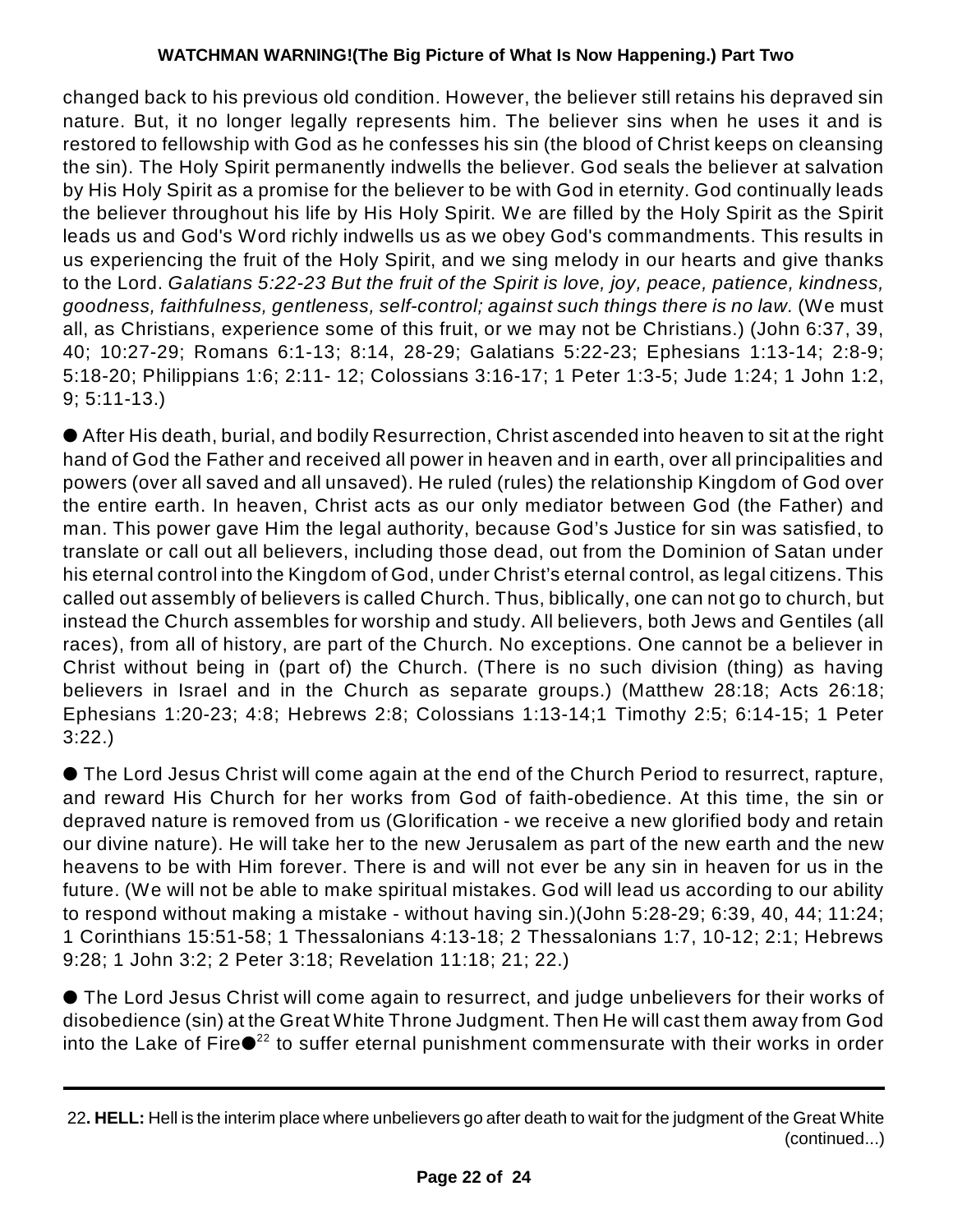changed back to his previous old condition. However, the believer still retains his depraved sin nature. But, it no longer legally represents him. The believer sins when he uses it and is restored to fellowship with God as he confesses his sin (the blood of Christ keeps on cleansing the sin). The Holy Spirit permanently indwells the believer. God seals the believer at salvation by His Holy Spirit as a promise for the believer to be with God in eternity. God continually leads the believer throughout his life by His Holy Spirit. We are filled by the Holy Spirit as the Spirit leads us and God's Word richly indwells us as we obey God's commandments. This results in us experiencing the fruit of the Holy Spirit, and we sing melody in our hearts and give thanks to the Lord. *Galatians 5:22-23 But the fruit of the Spirit is love, joy, peace, patience, kindness, goodness, faithfulness, gentleness, self-control; against such things there is no law.* (We must all, as Christians, experience some of this fruit, or we may not be Christians.) (John 6:37, 39, 40; 10:27-29; Romans 6:1-13; 8:14, 28-29; Galatians 5:22-23; Ephesians 1:13-14; 2:8-9; 5:18-20; Philippians 1:6; 2:11- 12; Colossians 3:16-17; 1 Peter 1:3-5; Jude 1:24; 1 John 1:2, 9; 5:11-13.)

 After His death, burial, and bodily Resurrection, Christ ascended into heaven to sit at the right hand of God the Father and received all power in heaven and in earth, over all principalities and powers (over all saved and all unsaved). He ruled (rules) the relationship Kingdom of God over the entire earth. In heaven, Christ acts as our only mediator between God (the Father) and man. This power gave Him the legal authority, because God's Justice for sin was satisfied, to translate or call out all believers, including those dead, out from the Dominion of Satan under his eternal control into the Kingdom of God, under Christ's eternal control, as legal citizens. This called out assembly of believers is called Church. Thus, biblically, one can not go to church, but instead the Church assembles for worship and study. All believers, both Jews and Gentiles (all races), from all of history, are part of the Church. No exceptions. One cannot be a believer in Christ without being in (part of) the Church. (There is no such division (thing) as having believers in Israel and in the Church as separate groups.) (Matthew 28:18; Acts 26:18; Ephesians 1:20-23; 4:8; Hebrews 2:8; Colossians 1:13-14;1 Timothy 2:5; 6:14-15; 1 Peter 3:22.)

 The Lord Jesus Christ will come again at the end of the Church Period to resurrect, rapture, and reward His Church for her works from God of faith-obedience. At this time, the sin or depraved nature is removed from us (Glorification - we receive a new glorified body and retain our divine nature). He will take her to the new Jerusalem as part of the new earth and the new heavens to be with Him forever. There is and will not ever be any sin in heaven for us in the future. (We will not be able to make spiritual mistakes. God will lead us according to our ability to respond without making a mistake - without having sin.)(John 5:28-29; 6:39, 40, 44; 11:24; 1 Corinthians 15:51-58; 1 Thessalonians 4:13-18; 2 Thessalonians 1:7, 10-12; 2:1; Hebrews 9:28; 1 John 3:2; 2 Peter 3:18; Revelation 11:18; 21; 22.)

 The Lord Jesus Christ will come again to resurrect, and judge unbelievers for their works of disobedience (sin) at the Great White Throne Judgment. Then He will cast them away from God into the Lake of Fire $\bullet^{22}$  to suffer eternal punishment commensurate with their works in order

<sup>22</sup>**. HELL:** Hell is the interim place where unbelievers go after death to wait for the judgment of the Great White (continued...)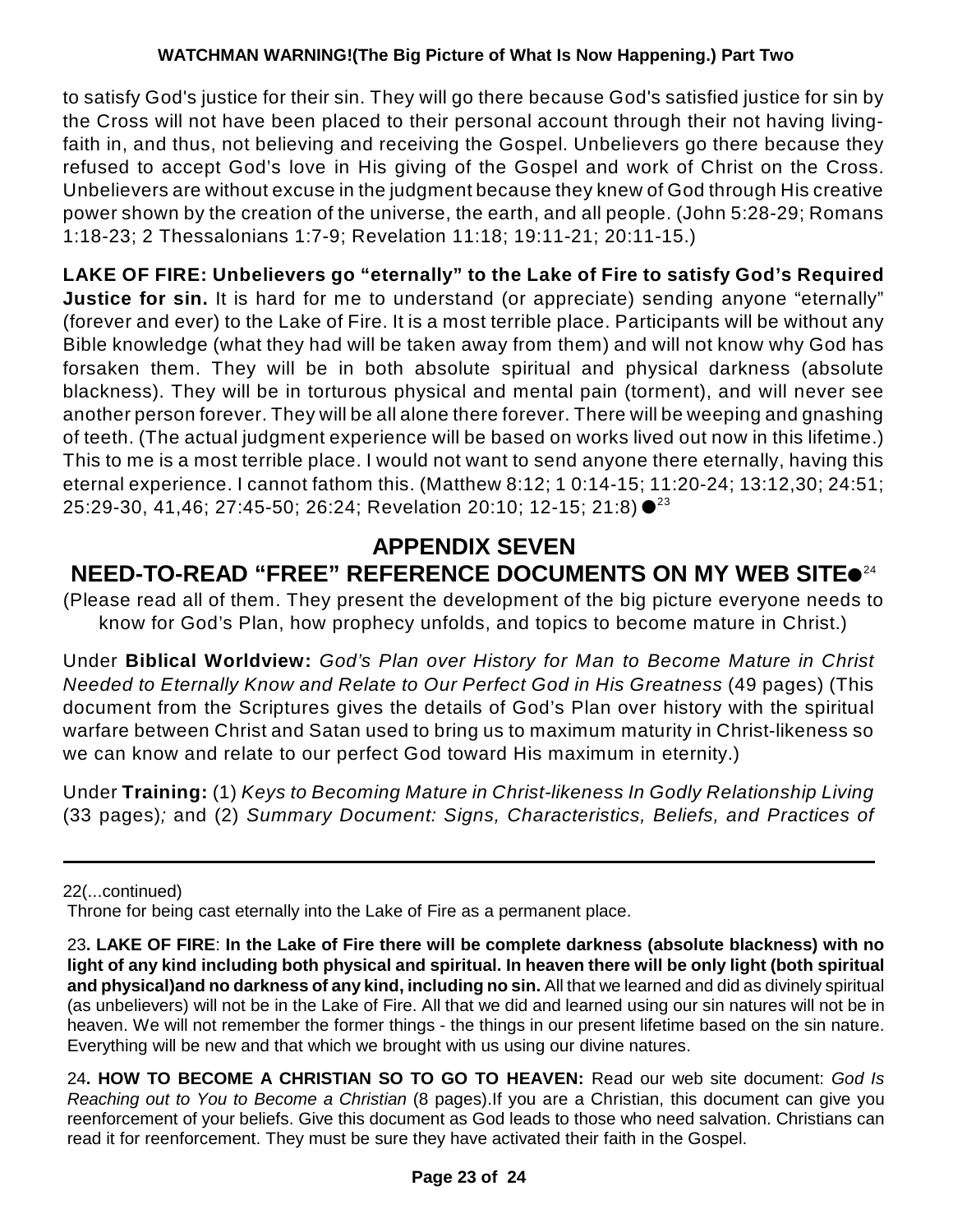to satisfy God's justice for their sin. They will go there because God's satisfied justice for sin by the Cross will not have been placed to their personal account through their not having livingfaith in, and thus, not believing and receiving the Gospel. Unbelievers go there because they refused to accept God's love in His giving of the Gospel and work of Christ on the Cross. Unbelievers are without excuse in the judgment because they knew of God through His creative power shown by the creation of the universe, the earth, and all people. (John 5:28-29; Romans 1:18-23; 2 Thessalonians 1:7-9; Revelation 11:18; 19:11-21; 20:11-15.)

**LAKE OF FIRE: Unbelievers go "eternally" to the Lake of Fire to satisfy God's Required Justice for sin.** It is hard for me to understand (or appreciate) sending anyone "eternally" (forever and ever) to the Lake of Fire. It is a most terrible place. Participants will be without any Bible knowledge (what they had will be taken away from them) and will not know why God has forsaken them. They will be in both absolute spiritual and physical darkness (absolute blackness). They will be in torturous physical and mental pain (torment), and will never see another person forever. They will be all alone there forever. There will be weeping and gnashing of teeth. (The actual judgment experience will be based on works lived out now in this lifetime.) This to me is a most terrible place. I would not want to send anyone there eternally, having this eternal experience. I cannot fathom this. (Matthew 8:12; 1 0:14-15; 11:20-24; 13:12,30; 24:51; 25:29-30, 41,46; 27:45-50; 26:24; Revelation 20:10; 12-15; 21:8) ●<sup>23</sup>

# **APPENDIX SEVEN**

# **NEED-TO-READ "FREE" REFERENCE DOCUMENTS ON MY WEB SITE** 24

(Please read all of them. They present the development of the big picture everyone needs to know for God's Plan, how prophecy unfolds, and topics to become mature in Christ.)

Under **Biblical Worldview:** *God's Plan over History for Man to Become Mature in Christ Needed to Eternally Know and Relate to Our Perfect God in His Greatness* (49 pages) (This document from the Scriptures gives the details of God's Plan over history with the spiritual warfare between Christ and Satan used to bring us to maximum maturity in Christ-likeness so we can know and relate to our perfect God toward His maximum in eternity.)

Under **Training:** (1) *Keys to Becoming Mature in Christ-likeness In Godly Relationship Living* (33 pages)*;* and (2) *Summary Document: Signs, Characteristics, Beliefs, and Practices of*

22(...continued)

Throne for being cast eternally into the Lake of Fire as a permanent place.

<sup>23</sup>**. LAKE OF FIRE**: **In the Lake of Fire there will be complete darkness (absolute blackness) with no light of any kind including both physical and spiritual. In heaven there will be only light (both spiritual and physical)and no darkness of any kind, including no sin.** All that we learned and did as divinely spiritual (as unbelievers) will not be in the Lake of Fire. All that we did and learned using our sin natures will not be in heaven. We will not remember the former things - the things in our present lifetime based on the sin nature. Everything will be new and that which we brought with us using our divine natures.

<sup>24</sup>**. HOW TO BECOME A CHRISTIAN SO TO GO TO HEAVEN:** Read our web site document: *God Is Reaching out to You to Become a Christian* (8 pages).If you are a Christian, this document can give you reenforcement of your beliefs. Give this document as God leads to those who need salvation. Christians can read it for reenforcement. They must be sure they have activated their faith in the Gospel.